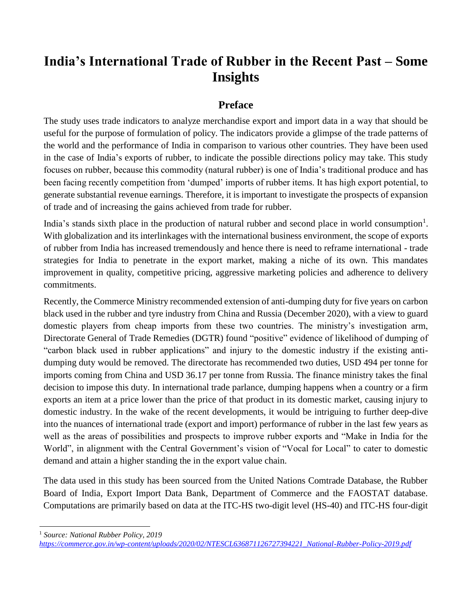# **India's International Trade of Rubber in the Recent Past – Some Insights**

### **Preface**

The study uses trade indicators to analyze merchandise export and import data in a way that should be useful for the purpose of formulation of policy. The indicators provide a glimpse of the trade patterns of the world and the performance of India in comparison to various other countries. They have been used in the case of India's exports of rubber, to indicate the possible directions policy may take. This study focuses on rubber, because this commodity (natural rubber) is one of India's traditional produce and has been facing recently competition from 'dumped' imports of rubber items. It has high export potential, to generate substantial revenue earnings. Therefore, it is important to investigate the prospects of expansion of trade and of increasing the gains achieved from trade for rubber.

India's stands sixth place in the production of natural rubber and second place in world consumption<sup>1</sup>. With globalization and its interlinkages with the international business environment, the scope of exports of rubber from India has increased tremendously and hence there is need to reframe international - trade strategies for India to penetrate in the export market, making a niche of its own. This mandates improvement in quality, competitive pricing, aggressive marketing policies and adherence to delivery commitments.

Recently, the Commerce Ministry recommended extension of anti-dumping duty for five years on carbon black used in the rubber and tyre industry from China and Russia (December 2020), with a view to guard domestic players from cheap imports from these two countries. The ministry's investigation arm, Directorate General of Trade Remedies (DGTR) found "positive" evidence of likelihood of dumping of "carbon black used in rubber applications" and injury to the domestic industry if the existing antidumping duty would be removed. The directorate has recommended two duties, USD 494 per tonne for imports coming from China and USD 36.17 per tonne from Russia. The finance ministry takes the final decision to impose this duty. In international trade parlance, dumping happens when a country or a firm exports an item at a price lower than the price of that product in its domestic market, causing injury to domestic industry. In the wake of the recent developments, it would be intriguing to further deep-dive into the nuances of international trade (export and import) performance of rubber in the last few years as well as the areas of possibilities and prospects to improve rubber exports and "Make in India for the World", in alignment with the Central Government's vision of "Vocal for Local" to cater to domestic demand and attain a higher standing the in the export value chain.

The data used in this study has been sourced from the United Nations Comtrade Database, the Rubber Board of India, Export Import Data Bank, Department of Commerce and the FAOSTAT database. Computations are primarily based on data at the ITC-HS two-digit level (HS-40) and ITC-HS four-digit

 $\overline{\phantom{a}}$ <sup>1</sup> *Source: National Rubber Policy, 2019*

*[https://commerce.gov.in/wp-content/uploads/2020/02/NTESCL636871126727394221\\_National-Rubber-Policy-2019.pdf](https://commerce.gov.in/wp-content/uploads/2020/02/NTESCL636871126727394221_National-Rubber-Policy-2019.pdf)*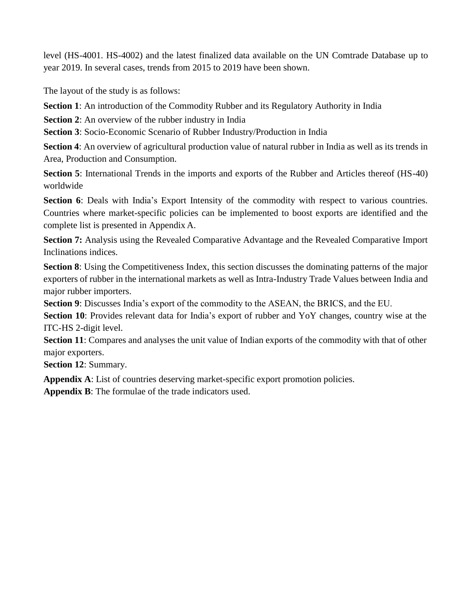level (HS-4001. HS-4002) and the latest finalized data available on the UN Comtrade Database up to year 2019. In several cases, trends from 2015 to 2019 have been shown.

The layout of the study is as follows:

**Section 1**: An introduction of the Commodity Rubber and its Regulatory Authority in India

**Section 2:** An overview of the rubber industry in India

**Section 3**: Socio-Economic Scenario of Rubber Industry/Production in India

**Section 4**: An overview of agricultural production value of natural rubber in India as well as its trends in Area, Production and Consumption.

**Section 5**: International Trends in the imports and exports of the Rubber and Articles thereof (HS-40) worldwide

**Section 6**: Deals with India's Export Intensity of the commodity with respect to various countries. Countries where market-specific policies can be implemented to boost exports are identified and the complete list is presented in Appendix A.

**Section 7:** Analysis using the Revealed Comparative Advantage and the Revealed Comparative Import Inclinations indices.

**Section 8**: Using the Competitiveness Index, this section discusses the dominating patterns of the major exporters of rubber in the international markets as well as Intra-Industry Trade Values between India and major rubber importers.

**Section 9**: Discusses India's export of the commodity to the ASEAN, the BRICS, and the EU.

**Section 10**: Provides relevant data for India's export of rubber and YoY changes, country wise at the ITC-HS 2-digit level.

**Section 11**: Compares and analyses the unit value of Indian exports of the commodity with that of other major exporters.

**Section 12**: Summary.

**Appendix A**: List of countries deserving market-specific export promotion policies.

**Appendix B**: The formulae of the trade indicators used.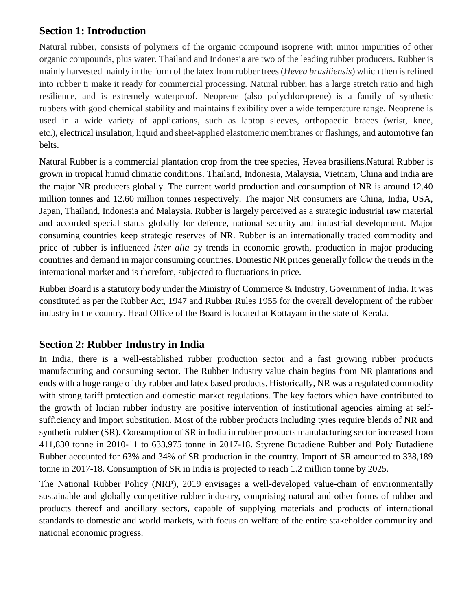### **Section 1: Introduction**

Natural rubber, consists of polymers of the organic compound isoprene with minor impurities of other organic compounds, plus water. Thailand and Indonesia are two of the leading rubber producers. Rubber is mainly harvested mainly in the form of the latex from rubber trees (*Hevea brasiliensis*) which then is refined into rubber ti make it ready for commercial processing. Natural rubber, has a large stretch ratio and high resilience, and is extremely waterproof. Neoprene (also polychloroprene) is a family of synthetic rubbers with good chemical stability and maintains flexibility over a wide temperature range. Neoprene is used in a wide variety of applications, such as laptop sleeves, orthopaedic braces (wrist, knee, etc.), electrical insulation, liquid and sheet-applied elastomeric membranes or flashings, and automotive fan belts.

Natural Rubber is a commercial plantation crop from the tree species, Hevea brasiliens.Natural Rubber is grown in tropical humid climatic conditions. Thailand, Indonesia, Malaysia, Vietnam, China and India are the major NR producers globally. The current world production and consumption of NR is around 12.40 million tonnes and 12.60 million tonnes respectively. The major NR consumers are China, India, USA, Japan, Thailand, Indonesia and Malaysia. Rubber is largely perceived as a strategic industrial raw material and accorded special status globally for defence, national security and industrial development. Major consuming countries keep strategic reserves of NR. Rubber is an internationally traded commodity and price of rubber is influenced *inter alia* by trends in economic growth, production in major producing countries and demand in major consuming countries. Domestic NR prices generally follow the trends in the international market and is therefore, subjected to fluctuations in price.

Rubber Board is a statutory body under the Ministry of Commerce & Industry, Government of India. It was constituted as per the Rubber Act, 1947 and Rubber Rules 1955 for the overall development of the rubber industry in the country. Head Office of the Board is located at Kottayam in the state of Kerala.

### **Section 2: Rubber Industry in India**

In India, there is a well-established rubber production sector and a fast growing rubber products manufacturing and consuming sector. The Rubber Industry value chain begins from NR plantations and ends with a huge range of dry rubber and latex based products. Historically, NR was a regulated commodity with strong tariff protection and domestic market regulations. The key factors which have contributed to the growth of Indian rubber industry are positive intervention of institutional agencies aiming at selfsufficiency and import substitution. Most of the rubber products including tyres require blends of NR and synthetic rubber (SR). Consumption of SR in India in rubber products manufacturing sector increased from 411,830 tonne in 2010-11 to 633,975 tonne in 2017-18. Styrene Butadiene Rubber and Poly Butadiene Rubber accounted for 63% and 34% of SR production in the country. Import of SR amounted to 338,189 tonne in 2017-18. Consumption of SR in India is projected to reach 1.2 million tonne by 2025.

The National Rubber Policy (NRP), 2019 envisages a well-developed value-chain of environmentally sustainable and globally competitive rubber industry, comprising natural and other forms of rubber and products thereof and ancillary sectors, capable of supplying materials and products of international standards to domestic and world markets, with focus on welfare of the entire stakeholder community and national economic progress.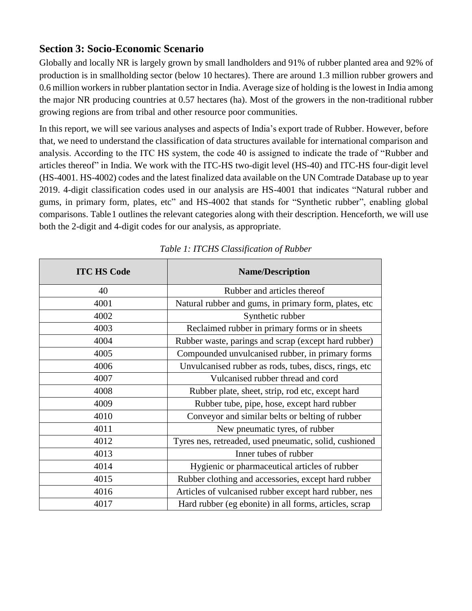### **Section 3: Socio-Economic Scenario**

Globally and locally NR is largely grown by small landholders and 91% of rubber planted area and 92% of production is in smallholding sector (below 10 hectares). There are around 1.3 million rubber growers and 0.6 million workers in rubber plantation sector in India. Average size of holding is the lowest in India among the major NR producing countries at 0.57 hectares (ha). Most of the growers in the non-traditional rubber growing regions are from tribal and other resource poor communities.

In this report, we will see various analyses and aspects of India's export trade of Rubber. However, before that, we need to understand the classification of data structures available for international comparison and analysis. According to the ITC HS system, the code 40 is assigned to indicate the trade of "Rubber and articles thereof" in India. We work with the ITC-HS two-digit level (HS-40) and ITC-HS four-digit level (HS-4001. HS-4002) codes and the latest finalized data available on the UN Comtrade Database up to year 2019. 4-digit classification codes used in our analysis are HS-4001 that indicates "Natural rubber and gums, in primary form, plates, etc" and HS-4002 that stands for "Synthetic rubber", enabling global comparisons. [Table1](#page-3-0) outlines the relevant categories along with their description. Henceforth, we will use both the 2-digit and 4-digit codes for our analysis, as appropriate.

<span id="page-3-0"></span>

| <b>ITC HS Code</b> | <b>Name/Description</b>                                |
|--------------------|--------------------------------------------------------|
| 40                 | Rubber and articles thereof                            |
| 4001               | Natural rubber and gums, in primary form, plates, etc  |
| 4002               | Synthetic rubber                                       |
| 4003               | Reclaimed rubber in primary forms or in sheets         |
| 4004               | Rubber waste, parings and scrap (except hard rubber)   |
| 4005               | Compounded unvulcanised rubber, in primary forms       |
| 4006               | Unvulcanised rubber as rods, tubes, discs, rings, etc. |
| 4007               | Vulcanised rubber thread and cord                      |
| 4008               | Rubber plate, sheet, strip, rod etc, except hard       |
| 4009               | Rubber tube, pipe, hose, except hard rubber            |
| 4010               | Conveyor and similar belts or belting of rubber        |
| 4011               | New pneumatic tyres, of rubber                         |
| 4012               | Tyres nes, retreaded, used pneumatic, solid, cushioned |
| 4013               | Inner tubes of rubber                                  |
| 4014               | Hygienic or pharmaceutical articles of rubber          |
| 4015               | Rubber clothing and accessories, except hard rubber    |
| 4016               | Articles of vulcanised rubber except hard rubber, nes  |
| 4017               | Hard rubber (eg ebonite) in all forms, articles, scrap |

### *Table 1: ITCHS Classification of Rubber*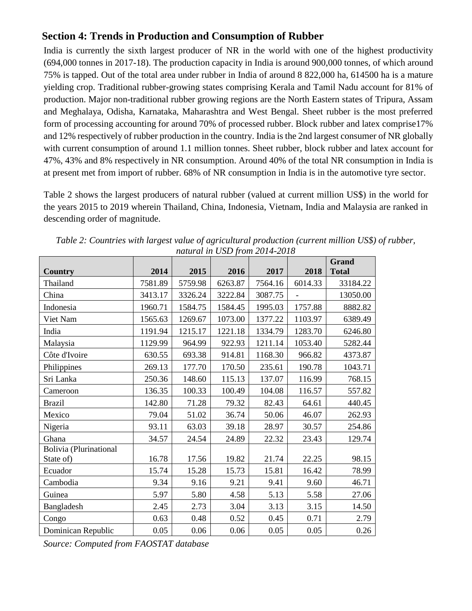### **Section 4: Trends in Production and Consumption of Rubber**

India is currently the sixth largest producer of NR in the world with one of the highest productivity (694,000 tonnes in 2017-18). The production capacity in India is around 900,000 tonnes, of which around 75% is tapped. Out of the total area under rubber in India of around 8 822,000 ha, 614500 ha is a mature yielding crop. Traditional rubber-growing states comprising Kerala and Tamil Nadu account for 81% of production. Major non-traditional rubber growing regions are the North Eastern states of Tripura, Assam and Meghalaya, Odisha, Karnataka, Maharashtra and West Bengal. Sheet rubber is the most preferred form of processing accounting for around 70% of processed rubber. Block rubber and latex comprise17% and 12% respectively of rubber production in the country. India is the 2nd largest consumer of NR globally with current consumption of around 1.1 million tonnes. Sheet rubber, block rubber and latex account for 47%, 43% and 8% respectively in NR consumption. Around 40% of the total NR consumption in India is at present met from import of rubber. 68% of NR consumption in India is in the automotive tyre sector.

[Table 2 s](#page-4-0)hows the largest producers of natural rubber (valued at current million US\$) in the world for the years 2015 to 2019 wherein Thailand, China, Indonesia, Vietnam, India and Malaysia are ranked in descending order of magnitude.

|                               |         |         | $- - -$ , $- - -$ |         |         | Grand        |
|-------------------------------|---------|---------|-------------------|---------|---------|--------------|
| <b>Country</b>                | 2014    | 2015    | 2016              | 2017    | 2018    | <b>Total</b> |
| Thailand                      | 7581.89 | 5759.98 | 6263.87           | 7564.16 | 6014.33 | 33184.22     |
| China                         | 3413.17 | 3326.24 | 3222.84           | 3087.75 |         | 13050.00     |
| Indonesia                     | 1960.71 | 1584.75 | 1584.45           | 1995.03 | 1757.88 | 8882.82      |
| Viet Nam                      | 1565.63 | 1269.67 | 1073.00           | 1377.22 | 1103.97 | 6389.49      |
| India                         | 1191.94 | 1215.17 | 1221.18           | 1334.79 | 1283.70 | 6246.80      |
| Malaysia                      | 1129.99 | 964.99  | 922.93            | 1211.14 | 1053.40 | 5282.44      |
| Côte d'Ivoire                 | 630.55  | 693.38  | 914.81            | 1168.30 | 966.82  | 4373.87      |
| Philippines                   | 269.13  | 177.70  | 170.50            | 235.61  | 190.78  | 1043.71      |
| Sri Lanka                     | 250.36  | 148.60  | 115.13            | 137.07  | 116.99  | 768.15       |
| Cameroon                      | 136.35  | 100.33  | 100.49            | 104.08  | 116.57  | 557.82       |
| <b>Brazil</b>                 | 142.80  | 71.28   | 79.32             | 82.43   | 64.61   | 440.45       |
| Mexico                        | 79.04   | 51.02   | 36.74             | 50.06   | 46.07   | 262.93       |
| Nigeria                       | 93.11   | 63.03   | 39.18             | 28.97   | 30.57   | 254.86       |
| Ghana                         | 34.57   | 24.54   | 24.89             | 22.32   | 23.43   | 129.74       |
| <b>Bolivia</b> (Plurinational |         |         |                   |         |         |              |
| State of)                     | 16.78   | 17.56   | 19.82             | 21.74   | 22.25   | 98.15        |
| Ecuador                       | 15.74   | 15.28   | 15.73             | 15.81   | 16.42   | 78.99        |
| Cambodia                      | 9.34    | 9.16    | 9.21              | 9.41    | 9.60    | 46.71        |
| Guinea                        | 5.97    | 5.80    | 4.58              | 5.13    | 5.58    | 27.06        |
| Bangladesh                    | 2.45    | 2.73    | 3.04              | 3.13    | 3.15    | 14.50        |
| Congo                         | 0.63    | 0.48    | 0.52              | 0.45    | 0.71    | 2.79         |
| Dominican Republic            | 0.05    | 0.06    | 0.06              | 0.05    | 0.05    | 0.26         |

<span id="page-4-0"></span>*Table 2: Countries with largest value of agricultural production (current million US\$) of rubber, natural in USD from 2014-2018*

*Source: Computed from FAOSTAT database*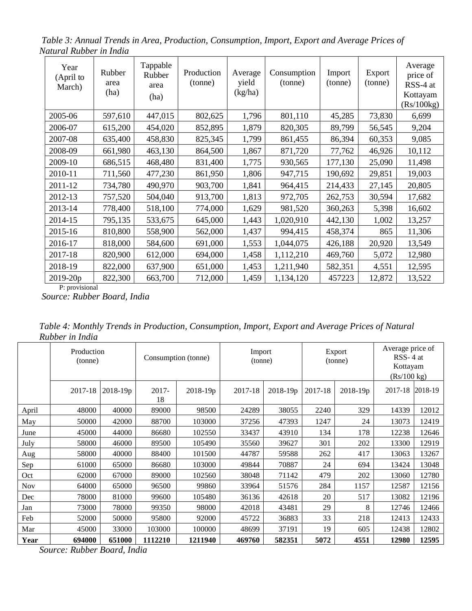*Table 3: Annual Trends in Area, Production, Consumption, Import, Export and Average Prices of Natural Rubber in India*

| Year<br>(April to<br>March) | Rubber<br>area<br>(ha) | Tappable<br>Rubber<br>area<br>(ha) | Production<br>(tonne) | Average<br>yield<br>(kg/ha) | Consumption<br>(tonne) | Import<br>(tonne) | Export<br>(tonne) | Average<br>price of<br>RSS-4 at<br>Kottayam<br>(Rs/100kg) |
|-----------------------------|------------------------|------------------------------------|-----------------------|-----------------------------|------------------------|-------------------|-------------------|-----------------------------------------------------------|
| 2005-06                     | 597,610                | 447,015                            | 802,625               | 1,796                       | 801,110                | 45,285            | 73,830            | 6,699                                                     |
| 2006-07                     | 615,200                | 454,020                            | 852,895               | 1,879                       | 820,305                | 89,799            | 56,545            | 9,204                                                     |
| 2007-08                     | 635,400                | 458,830                            | 825,345               | 1,799                       | 861,455                | 86,394            | 60,353            | 9,085                                                     |
| 2008-09                     | 661,980                | 463,130                            | 864,500               | 1,867                       | 871,720                | 77,762            | 46,926            | 10,112                                                    |
| 2009-10                     | 686,515                | 468,480                            | 831,400               | 1,775                       | 930,565                | 177,130           | 25,090            | 11,498                                                    |
| 2010-11                     | 711,560                | 477,230                            | 861,950               | 1,806                       | 947,715                | 190,692           | 29,851            | 19,003                                                    |
| 2011-12                     | 734,780                | 490,970                            | 903,700               | 1,841                       | 964,415                | 214,433           | 27,145            | 20,805                                                    |
| 2012-13                     | 757,520                | 504,040                            | 913,700               | 1,813                       | 972,705                | 262,753           | 30,594            | 17,682                                                    |
| 2013-14                     | 778,400                | 518,100                            | 774,000               | 1,629                       | 981,520                | 360,263           | 5,398             | 16,602                                                    |
| 2014-15                     | 795,135                | 533,675                            | 645,000               | 1,443                       | 1,020,910              | 442,130           | 1,002             | 13,257                                                    |
| 2015-16                     | 810,800                | 558,900                            | 562,000               | 1,437                       | 994,415                | 458,374           | 865               | 11,306                                                    |
| 2016-17                     | 818,000                | 584,600                            | 691,000               | 1,553                       | 1,044,075              | 426,188           | 20,920            | 13,549                                                    |
| 2017-18                     | 820,900                | 612,000                            | 694,000               | 1,458                       | 1,112,210              | 469,760           | 5,072             | 12,980                                                    |
| 2018-19                     | 822,000                | 637,900                            | 651,000               | 1,453                       | 1,211,940              | 582,351           | 4,551             | 12,595                                                    |
| 2019-20p                    | 822,300                | 663,700                            | 712,000               | 1,459                       | 1,134,120              | 457223            | 12,872            | 13,522                                                    |

P: provisional

*Source: Rubber Board, India*

*Table 4: Monthly Trends in Production, Consumption, Import, Export and Average Prices of Natural Rubber in India*

|            | Production<br>(tonne) |            |             | Import<br>Consumption (tonne)<br>(tonne) |         | Export<br>(tonne) |         | Average price of<br>$RSS - 4$ at<br>Kottayam<br>(Rs/100 kg) |         |         |
|------------|-----------------------|------------|-------------|------------------------------------------|---------|-------------------|---------|-------------------------------------------------------------|---------|---------|
|            | 2017-18               | $2018-19p$ | 2017-<br>18 | 2018-19p                                 | 2017-18 | $2018 - 19p$      | 2017-18 | 2018-19p                                                    | 2017-18 | 2018-19 |
| April      | 48000                 | 40000      | 89000       | 98500                                    | 24289   | 38055             | 2240    | 329                                                         | 14339   | 12012   |
| May        | 50000                 | 42000      | 88700       | 103000                                   | 37256   | 47393             | 1247    | 24                                                          | 13073   | 12419   |
| June       | 45000                 | 44000      | 86680       | 102550                                   | 33437   | 43910             | 134     | 178                                                         | 12238   | 12646   |
| July       | 58000                 | 46000      | 89500       | 105490                                   | 35560   | 39627             | 301     | 202                                                         | 13300   | 12919   |
| Aug        | 58000                 | 40000      | 88400       | 101500                                   | 44787   | 59588             | 262     | 417                                                         | 13063   | 13267   |
| Sep        | 61000                 | 65000      | 86680       | 103000                                   | 49844   | 70887             | 24      | 694                                                         | 13424   | 13048   |
| Oct        | 62000                 | 67000      | 89000       | 102560                                   | 38048   | 71142             | 479     | 202                                                         | 13060   | 12780   |
| <b>Nov</b> | 64000                 | 65000      | 96500       | 99860                                    | 33964   | 51576             | 284     | 1157                                                        | 12587   | 12156   |
| Dec        | 78000                 | 81000      | 99600       | 105480                                   | 36136   | 42618             | 20      | 517                                                         | 13082   | 12196   |
| Jan        | 73000                 | 78000      | 99350       | 98000                                    | 42018   | 43481             | 29      | 8                                                           | 12746   | 12466   |
| Feb        | 52000                 | 50000      | 95800       | 92000                                    | 45722   | 36883             | 33      | 218                                                         | 12413   | 12433   |
| Mar        | 45000                 | 33000      | 103000      | 100000                                   | 48699   | 37191             | 19      | 605                                                         | 12438   | 12802   |
| Year       | 694000                | 651000     | 1112210     | 1211940                                  | 469760  | 582351            | 5072    | 4551                                                        | 12980   | 12595   |

*Source: Rubber Board, India*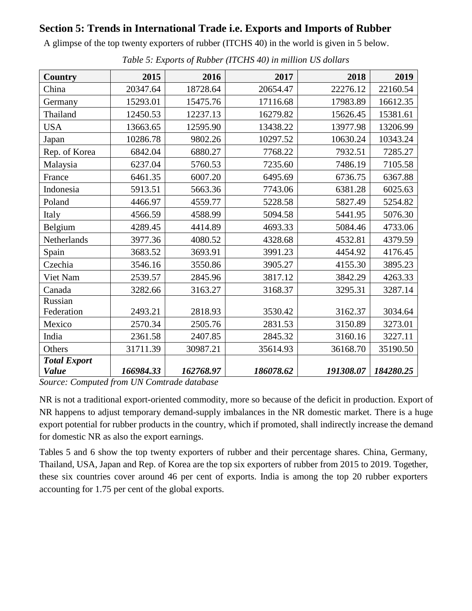### **Section 5: Trends in International Trade i.e. Exports and Imports of Rubber**

A glimpse of the top twenty exporters of rubber (ITCHS 40) in the world is given in 5 below.

| <b>Country</b>      | 2015      | 2016      | 2017      | 2018      | 2019      |
|---------------------|-----------|-----------|-----------|-----------|-----------|
| China               | 20347.64  | 18728.64  | 20654.47  | 22276.12  | 22160.54  |
| Germany             | 15293.01  | 15475.76  | 17116.68  | 17983.89  | 16612.35  |
| Thailand            | 12450.53  | 12237.13  | 16279.82  | 15626.45  | 15381.61  |
| <b>USA</b>          | 13663.65  | 12595.90  | 13438.22  | 13977.98  | 13206.99  |
| Japan               | 10286.78  | 9802.26   | 10297.52  | 10630.24  | 10343.24  |
| Rep. of Korea       | 6842.04   | 6880.27   | 7768.22   | 7932.51   | 7285.27   |
| Malaysia            | 6237.04   | 5760.53   | 7235.60   | 7486.19   | 7105.58   |
| France              | 6461.35   | 6007.20   | 6495.69   | 6736.75   | 6367.88   |
| Indonesia           | 5913.51   | 5663.36   | 7743.06   | 6381.28   | 6025.63   |
| Poland              | 4466.97   | 4559.77   | 5228.58   | 5827.49   | 5254.82   |
| Italy               | 4566.59   | 4588.99   | 5094.58   | 5441.95   | 5076.30   |
| Belgium             | 4289.45   | 4414.89   | 4693.33   | 5084.46   | 4733.06   |
| Netherlands         | 3977.36   | 4080.52   | 4328.68   | 4532.81   | 4379.59   |
| Spain               | 3683.52   | 3693.91   | 3991.23   | 4454.92   | 4176.45   |
| Czechia             | 3546.16   | 3550.86   | 3905.27   | 4155.30   | 3895.23   |
| Viet Nam            | 2539.57   | 2845.96   | 3817.12   | 3842.29   | 4263.33   |
| Canada              | 3282.66   | 3163.27   | 3168.37   | 3295.31   | 3287.14   |
| Russian             |           |           |           |           |           |
| Federation          | 2493.21   | 2818.93   | 3530.42   | 3162.37   | 3034.64   |
| Mexico              | 2570.34   | 2505.76   | 2831.53   | 3150.89   | 3273.01   |
| India               | 2361.58   | 2407.85   | 2845.32   | 3160.16   | 3227.11   |
| Others              | 31711.39  | 30987.21  | 35614.93  | 36168.70  | 35190.50  |
| <b>Total Export</b> |           |           |           |           |           |
| <b>Value</b>        | 166984.33 | 162768.97 | 186078.62 | 191308.07 | 184280.25 |

*Table 5: Exports of Rubber (ITCHS 40) in million US dollars*

*Source: Computed from UN Comtrade database*

NR is not a traditional export-oriented commodity, more so because of the deficit in production. Export of NR happens to adjust temporary demand-supply imbalances in the NR domestic market. There is a huge export potential for rubber products in the country, which if promoted, shall indirectly increase the demand for domestic NR as also the export earnings.

Tables 5 and 6 show the top twenty exporters of rubber and their percentage shares. China, Germany, Thailand, USA, Japan and Rep. of Korea are the top six exporters of rubber from 2015 to 2019. Together, these six countries cover around 46 per cent of exports. India is among the top 20 rubber exporters accounting for 1.75 per cent of the global exports.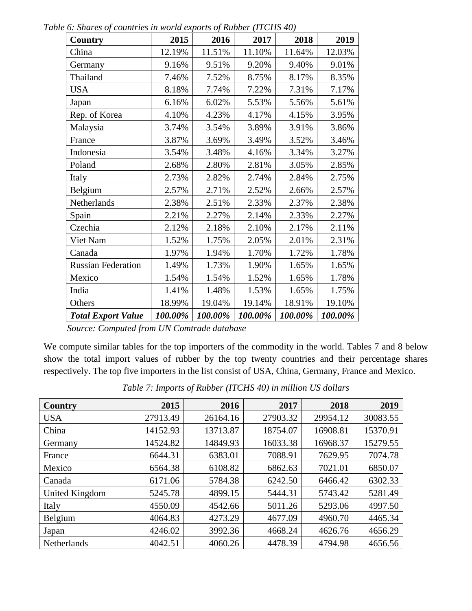| <b>Country</b>            | 2015    | 2016    | 2017    | 2018    | 2019    |
|---------------------------|---------|---------|---------|---------|---------|
| China                     | 12.19%  | 11.51%  | 11.10%  | 11.64%  | 12.03%  |
| Germany                   | 9.16%   | 9.51%   | 9.20%   | 9.40%   | 9.01%   |
| Thailand                  | 7.46%   | 7.52%   | 8.75%   | 8.17%   | 8.35%   |
| <b>USA</b>                | 8.18%   | 7.74%   | 7.22%   | 7.31%   | 7.17%   |
| Japan                     | 6.16%   | 6.02%   | 5.53%   | 5.56%   | 5.61%   |
| Rep. of Korea             | 4.10%   | 4.23%   | 4.17%   | 4.15%   | 3.95%   |
| Malaysia                  | 3.74%   | 3.54%   | 3.89%   | 3.91%   | 3.86%   |
| France                    | 3.87%   | 3.69%   | 3.49%   | 3.52%   | 3.46%   |
| Indonesia                 | 3.54%   | 3.48%   | 4.16%   | 3.34%   | 3.27%   |
| Poland                    | 2.68%   | 2.80%   | 2.81%   | 3.05%   | 2.85%   |
| Italy                     | 2.73%   | 2.82%   | 2.74%   | 2.84%   | 2.75%   |
| Belgium                   | 2.57%   | 2.71%   | 2.52%   | 2.66%   | 2.57%   |
| Netherlands               | 2.38%   | 2.51%   | 2.33%   | 2.37%   | 2.38%   |
| Spain                     | 2.21%   | 2.27%   | 2.14%   | 2.33%   | 2.27%   |
| Czechia                   | 2.12%   | 2.18%   | 2.10%   | 2.17%   | 2.11%   |
| Viet Nam                  | 1.52%   | 1.75%   | 2.05%   | 2.01%   | 2.31%   |
| Canada                    | 1.97%   | 1.94%   | 1.70%   | 1.72%   | 1.78%   |
| <b>Russian Federation</b> | 1.49%   | 1.73%   | 1.90%   | 1.65%   | 1.65%   |
| Mexico                    | 1.54%   | 1.54%   | 1.52%   | 1.65%   | 1.78%   |
| India                     | 1.41%   | 1.48%   | 1.53%   | 1.65%   | 1.75%   |
| Others                    | 18.99%  | 19.04%  | 19.14%  | 18.91%  | 19.10%  |
| <b>Total Export Value</b> | 100.00% | 100.00% | 100.00% | 100.00% | 100.00% |

*Table 6: Shares of countries in world exports of Rubber (ITCHS 40)*

We compute similar tables for the top importers of the commodity in the world. Tables 7 and 8 below show the total import values of rubber by the top twenty countries and their percentage shares respectively. The top five importers in the list consist of USA, China, Germany, France and Mexico.

| <b>Country</b> | 2015     | 2016     | 2017     | 2018     | 2019     |
|----------------|----------|----------|----------|----------|----------|
| <b>USA</b>     | 27913.49 | 26164.16 | 27903.32 | 29954.12 | 30083.55 |
| China          | 14152.93 | 13713.87 | 18754.07 | 16908.81 | 15370.91 |
| Germany        | 14524.82 | 14849.93 | 16033.38 | 16968.37 | 15279.55 |
| France         | 6644.31  | 6383.01  | 7088.91  | 7629.95  | 7074.78  |
| Mexico         | 6564.38  | 6108.82  | 6862.63  | 7021.01  | 6850.07  |
| Canada         | 6171.06  | 5784.38  | 6242.50  | 6466.42  | 6302.33  |
| United Kingdom | 5245.78  | 4899.15  | 5444.31  | 5743.42  | 5281.49  |
| Italy          | 4550.09  | 4542.66  | 5011.26  | 5293.06  | 4997.50  |
| Belgium        | 4064.83  | 4273.29  | 4677.09  | 4960.70  | 4465.34  |
| Japan          | 4246.02  | 3992.36  | 4668.24  | 4626.76  | 4656.29  |
| Netherlands    | 4042.51  | 4060.26  | 4478.39  | 4794.98  | 4656.56  |

*Table 7: Imports of Rubber (ITCHS 40) in million US dollars*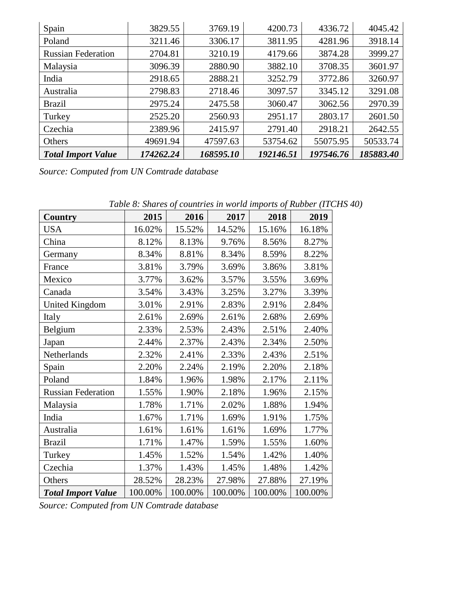| Spain                     | 3829.55   | 3769.19   | 4200.73   | 4336.72   | 4045.42   |
|---------------------------|-----------|-----------|-----------|-----------|-----------|
| Poland                    | 3211.46   | 3306.17   | 3811.95   | 4281.96   | 3918.14   |
| <b>Russian Federation</b> | 2704.81   | 3210.19   | 4179.66   | 3874.28   | 3999.27   |
| Malaysia                  | 3096.39   | 2880.90   | 3882.10   | 3708.35   | 3601.97   |
| India                     | 2918.65   | 2888.21   | 3252.79   | 3772.86   | 3260.97   |
| Australia                 | 2798.83   | 2718.46   | 3097.57   | 3345.12   | 3291.08   |
| <b>Brazil</b>             | 2975.24   | 2475.58   | 3060.47   | 3062.56   | 2970.39   |
| Turkey                    | 2525.20   | 2560.93   | 2951.17   | 2803.17   | 2601.50   |
| Czechia                   | 2389.96   | 2415.97   | 2791.40   | 2918.21   | 2642.55   |
| Others                    | 49691.94  | 47597.63  | 53754.62  | 55075.95  | 50533.74  |
| <b>Total Import Value</b> | 174262.24 | 168595.10 | 192146.51 | 197546.76 | 185883.40 |

| <b>Country</b>            | 2015    | 2016    | 2017    | 2018    | 2019    |
|---------------------------|---------|---------|---------|---------|---------|
| <b>USA</b>                | 16.02%  | 15.52%  | 14.52%  | 15.16%  | 16.18%  |
| China                     | 8.12%   | 8.13%   | 9.76%   | 8.56%   | 8.27%   |
| Germany                   | 8.34%   | 8.81%   | 8.34%   | 8.59%   | 8.22%   |
| France                    | 3.81%   | 3.79%   | 3.69%   | 3.86%   | 3.81%   |
| Mexico                    | 3.77%   | 3.62%   | 3.57%   | 3.55%   | 3.69%   |
| Canada                    | 3.54%   | 3.43%   | 3.25%   | 3.27%   | 3.39%   |
| <b>United Kingdom</b>     | 3.01%   | 2.91%   | 2.83%   | 2.91%   | 2.84%   |
| Italy                     | 2.61%   | 2.69%   | 2.61%   | 2.68%   | 2.69%   |
| Belgium                   | 2.33%   | 2.53%   | 2.43%   | 2.51%   | 2.40%   |
| Japan                     | 2.44%   | 2.37%   | 2.43%   | 2.34%   | 2.50%   |
| Netherlands               | 2.32%   | 2.41%   | 2.33%   | 2.43%   | 2.51%   |
| Spain                     | 2.20%   | 2.24%   | 2.19%   | 2.20%   | 2.18%   |
| Poland                    | 1.84%   | 1.96%   | 1.98%   | 2.17%   | 2.11%   |
| <b>Russian Federation</b> | 1.55%   | 1.90%   | 2.18%   | 1.96%   | 2.15%   |
| Malaysia                  | 1.78%   | 1.71%   | 2.02%   | 1.88%   | 1.94%   |
| India                     | 1.67%   | 1.71%   | 1.69%   | 1.91%   | 1.75%   |
| Australia                 | 1.61%   | 1.61%   | 1.61%   | 1.69%   | 1.77%   |
| <b>Brazil</b>             | 1.71%   | 1.47%   | 1.59%   | 1.55%   | 1.60%   |
| Turkey                    | 1.45%   | 1.52%   | 1.54%   | 1.42%   | 1.40%   |
| Czechia                   | 1.37%   | 1.43%   | 1.45%   | 1.48%   | 1.42%   |
| Others                    | 28.52%  | 28.23%  | 27.98%  | 27.88%  | 27.19%  |
| <b>Total Import Value</b> | 100.00% | 100.00% | 100.00% | 100.00% | 100.00% |

*Table 8: Shares of countries in world imports of Rubber (ITCHS 40)*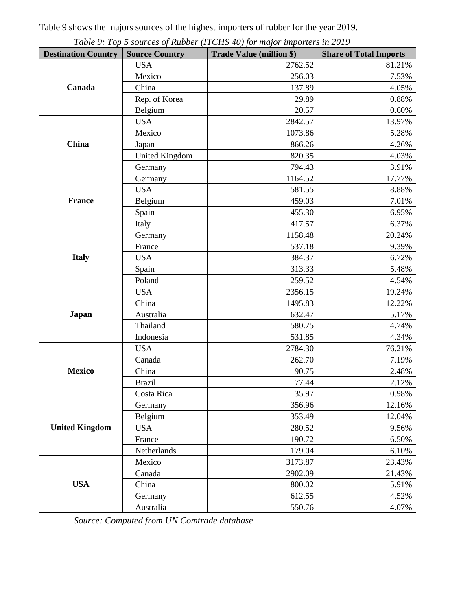Table 9 shows the majors sources of the highest importers of rubber for the year 2019.

| <b>Destination Country</b> | <b>Source Country</b> | Table 7. Top 5 sources of Kabber (11 CHS 10) for major importers in 2017<br><b>Trade Value (million \$)</b> | <b>Share of Total Imports</b> |
|----------------------------|-----------------------|-------------------------------------------------------------------------------------------------------------|-------------------------------|
|                            | <b>USA</b>            | 2762.52                                                                                                     | 81.21%                        |
|                            | Mexico                | 256.03                                                                                                      | 7.53%                         |
| Canada                     | China                 | 137.89                                                                                                      | 4.05%                         |
|                            | Rep. of Korea         | 29.89                                                                                                       | 0.88%                         |
|                            | Belgium               | 20.57                                                                                                       | 0.60%                         |
|                            | <b>USA</b>            | 2842.57                                                                                                     | 13.97%                        |
|                            | Mexico                | 1073.86                                                                                                     | 5.28%                         |
| China                      | Japan                 | 866.26                                                                                                      | 4.26%                         |
|                            | <b>United Kingdom</b> | 820.35                                                                                                      | 4.03%                         |
|                            | Germany               | 794.43                                                                                                      | 3.91%                         |
|                            | Germany               | 1164.52                                                                                                     | 17.77%                        |
|                            | <b>USA</b>            | 581.55                                                                                                      | 8.88%                         |
| <b>France</b>              | Belgium               | 459.03                                                                                                      | 7.01%                         |
|                            | Spain                 | 455.30                                                                                                      | 6.95%                         |
|                            | Italy                 | 417.57                                                                                                      | 6.37%                         |
|                            | Germany               | 1158.48                                                                                                     | 20.24%                        |
|                            | France                | 537.18                                                                                                      | 9.39%                         |
| <b>Italy</b>               | <b>USA</b>            | 384.37                                                                                                      | 6.72%                         |
|                            | Spain                 | 313.33                                                                                                      | 5.48%                         |
|                            | Poland                | 259.52                                                                                                      | 4.54%                         |
|                            | <b>USA</b>            | 2356.15                                                                                                     | 19.24%                        |
|                            | China                 | 1495.83                                                                                                     | 12.22%                        |
| <b>Japan</b>               | Australia             | 632.47                                                                                                      | 5.17%                         |
|                            | Thailand              | 580.75                                                                                                      | 4.74%                         |
|                            | Indonesia             | 531.85                                                                                                      | 4.34%                         |
|                            | <b>USA</b>            | 2784.30                                                                                                     | 76.21%                        |
|                            | Canada                | 262.70                                                                                                      | 7.19%                         |
| <b>Mexico</b>              | China                 | 90.75                                                                                                       | 2.48%                         |
|                            | <b>Brazil</b>         | 77.44                                                                                                       | 2.12%                         |
|                            | Costa Rica            | 35.97                                                                                                       | 0.98%                         |
|                            | Germany               | 356.96                                                                                                      | 12.16%                        |
|                            | Belgium               | 353.49                                                                                                      | 12.04%                        |
| <b>United Kingdom</b>      | <b>USA</b>            | 280.52                                                                                                      | 9.56%                         |
|                            | France                | 190.72                                                                                                      | 6.50%                         |
|                            | Netherlands           | 179.04                                                                                                      | 6.10%                         |
|                            | Mexico                | 3173.87                                                                                                     | 23.43%                        |
|                            | Canada                | 2902.09                                                                                                     | 21.43%                        |
| <b>USA</b>                 | China                 | 800.02                                                                                                      | 5.91%                         |
|                            | Germany               | 612.55                                                                                                      | 4.52%                         |
|                            | Australia             | 550.76                                                                                                      | 4.07%                         |

*Table 9: Top 5 sources of Rubber (ITCHS 40) for major importers in 2019*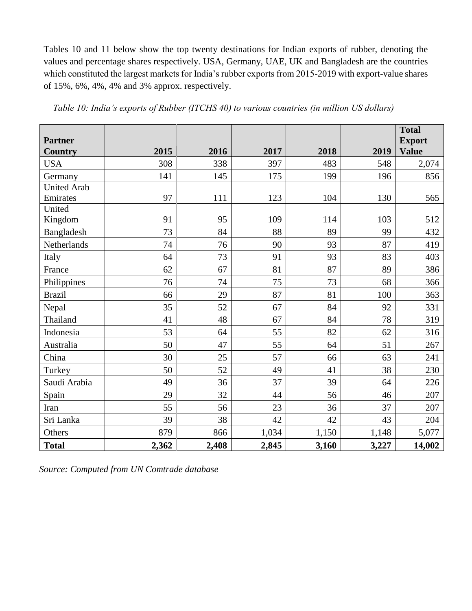Tables 10 and 11 below show the top twenty destinations for Indian exports of rubber, denoting the values and percentage shares respectively. USA, Germany, UAE, UK and Bangladesh are the countries which constituted the largest markets for India's rubber exports from 2015-2019 with export-value shares of 15%, 6%, 4%, 4% and 3% approx. respectively.

| <b>Partner</b>     |       |       |       |       |       | <b>Total</b><br><b>Export</b> |
|--------------------|-------|-------|-------|-------|-------|-------------------------------|
| <b>Country</b>     | 2015  | 2016  | 2017  | 2018  | 2019  | <b>Value</b>                  |
| <b>USA</b>         | 308   | 338   | 397   | 483   | 548   | 2,074                         |
| Germany            | 141   | 145   | 175   | 199   | 196   | 856                           |
| <b>United Arab</b> |       |       |       |       |       |                               |
| Emirates           | 97    | 111   | 123   | 104   | 130   | 565                           |
| United             |       |       |       |       |       |                               |
| Kingdom            | 91    | 95    | 109   | 114   | 103   | 512                           |
| Bangladesh         | 73    | 84    | 88    | 89    | 99    | 432                           |
| Netherlands        | 74    | 76    | 90    | 93    | 87    | 419                           |
| Italy              | 64    | 73    | 91    | 93    | 83    | 403                           |
| France             | 62    | 67    | 81    | 87    | 89    | 386                           |
| Philippines        | 76    | 74    | 75    | 73    | 68    | 366                           |
| <b>Brazil</b>      | 66    | 29    | 87    | 81    | 100   | 363                           |
| Nepal              | 35    | 52    | 67    | 84    | 92    | 331                           |
| Thailand           | 41    | 48    | 67    | 84    | 78    | 319                           |
| Indonesia          | 53    | 64    | 55    | 82    | 62    | 316                           |
| Australia          | 50    | 47    | 55    | 64    | 51    | 267                           |
| China              | 30    | 25    | 57    | 66    | 63    | 241                           |
| Turkey             | 50    | 52    | 49    | 41    | 38    | 230                           |
| Saudi Arabia       | 49    | 36    | 37    | 39    | 64    | 226                           |
| Spain              | 29    | 32    | 44    | 56    | 46    | 207                           |
| Iran               | 55    | 56    | 23    | 36    | 37    | 207                           |
| Sri Lanka          | 39    | 38    | 42    | 42    | 43    | 204                           |
| Others             | 879   | 866   | 1,034 | 1,150 | 1,148 | 5,077                         |
| <b>Total</b>       | 2,362 | 2,408 | 2,845 | 3,160 | 3,227 | 14,002                        |

*Table 10: India's exports of Rubber (ITCHS 40) to various countries (in million US dollars)*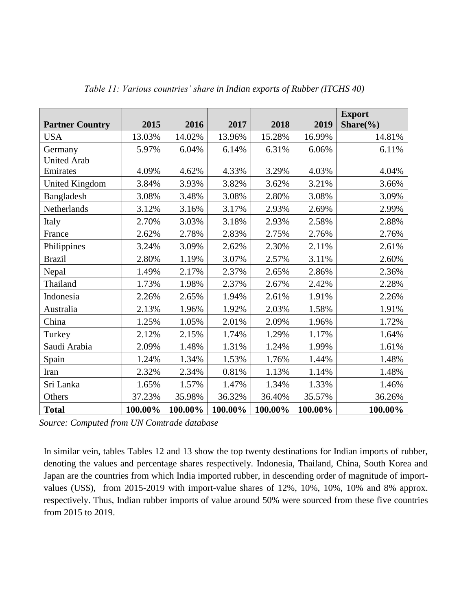| <b>Partner Country</b> | 2015    | 2016    | 2017    | 2018    | 2019    | <b>Export</b><br>Share $(\% )$ |
|------------------------|---------|---------|---------|---------|---------|--------------------------------|
| <b>USA</b>             | 13.03%  | 14.02%  | 13.96%  | 15.28%  | 16.99%  | 14.81%                         |
| Germany                | 5.97%   | 6.04%   | 6.14%   | 6.31%   | 6.06%   | 6.11%                          |
| <b>United Arab</b>     |         |         |         |         |         |                                |
| Emirates               | 4.09%   | 4.62%   | 4.33%   | 3.29%   | 4.03%   | 4.04%                          |
| <b>United Kingdom</b>  | 3.84%   | 3.93%   | 3.82%   | 3.62%   | 3.21%   | 3.66%                          |
| Bangladesh             | 3.08%   | 3.48%   | 3.08%   | 2.80%   | 3.08%   | 3.09%                          |
| Netherlands            | 3.12%   | 3.16%   | 3.17%   | 2.93%   | 2.69%   | 2.99%                          |
| Italy                  | 2.70%   | 3.03%   | 3.18%   | 2.93%   | 2.58%   | 2.88%                          |
| France                 | 2.62%   | 2.78%   | 2.83%   | 2.75%   | 2.76%   | 2.76%                          |
| Philippines            | 3.24%   | 3.09%   | 2.62%   | 2.30%   | 2.11%   | 2.61%                          |
| <b>Brazil</b>          | 2.80%   | 1.19%   | 3.07%   | 2.57%   | 3.11%   | 2.60%                          |
| Nepal                  | 1.49%   | 2.17%   | 2.37%   | 2.65%   | 2.86%   | 2.36%                          |
| Thailand               | 1.73%   | 1.98%   | 2.37%   | 2.67%   | 2.42%   | 2.28%                          |
| Indonesia              | 2.26%   | 2.65%   | 1.94%   | 2.61%   | 1.91%   | 2.26%                          |
| Australia              | 2.13%   | 1.96%   | 1.92%   | 2.03%   | 1.58%   | 1.91%                          |
| China                  | 1.25%   | 1.05%   | 2.01%   | 2.09%   | 1.96%   | 1.72%                          |
| Turkey                 | 2.12%   | 2.15%   | 1.74%   | 1.29%   | 1.17%   | 1.64%                          |
| Saudi Arabia           | 2.09%   | 1.48%   | 1.31%   | 1.24%   | 1.99%   | 1.61%                          |
| Spain                  | 1.24%   | 1.34%   | 1.53%   | 1.76%   | 1.44%   | 1.48%                          |
| Iran                   | 2.32%   | 2.34%   | 0.81%   | 1.13%   | 1.14%   | 1.48%                          |
| Sri Lanka              | 1.65%   | 1.57%   | 1.47%   | 1.34%   | 1.33%   | 1.46%                          |
| Others                 | 37.23%  | 35.98%  | 36.32%  | 36.40%  | 35.57%  | 36.26%                         |
| <b>Total</b>           | 100.00% | 100.00% | 100.00% | 100.00% | 100.00% | 100.00%                        |

*Table 11: Various countries' share in Indian exports of Rubber (ITCHS 40)*

In similar vein, tables Tables 12 and 13 show the top twenty destinations for Indian imports of rubber, denoting the values and percentage shares respectively. Indonesia, Thailand, China, South Korea and Japan are the countries from which India imported rubber, in descending order of magnitude of importvalues (US\$), from 2015-2019 with import-value shares of 12%, 10%, 10%, 10% and 8% approx. respectively. Thus, Indian rubber imports of value around 50% were sourced from these five countries from 2015 to 2019.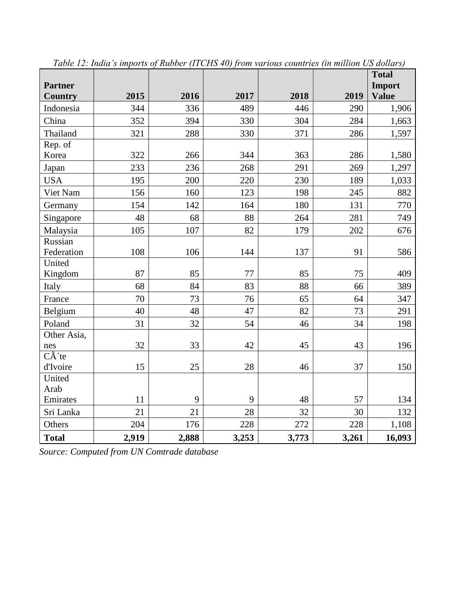|                  |       |       |       |       |       | <b>Total</b> |
|------------------|-------|-------|-------|-------|-------|--------------|
| <b>Partner</b>   |       |       |       |       |       | Import       |
| <b>Country</b>   | 2015  | 2016  | 2017  | 2018  | 2019  | <b>Value</b> |
| Indonesia        | 344   | 336   | 489   | 446   | 290   | 1,906        |
| China            | 352   | 394   | 330   | 304   | 284   | 1,663        |
| Thailand         | 321   | 288   | 330   | 371   | 286   | 1,597        |
| Rep. of          |       |       |       |       |       |              |
| Korea            | 322   | 266   | 344   | 363   | 286   | 1,580        |
| Japan            | 233   | 236   | 268   | 291   | 269   | 1,297        |
| <b>USA</b>       | 195   | 200   | 220   | 230   | 189   | 1,033        |
| Viet Nam         | 156   | 160   | 123   | 198   | 245   | 882          |
| Germany          | 154   | 142   | 164   | 180   | 131   | 770          |
| Singapore        | 48    | 68    | 88    | 264   | 281   | 749          |
| Malaysia         | 105   | 107   | 82    | 179   | 202   | 676          |
| Russian          |       |       |       |       |       |              |
| Federation       | 108   | 106   | 144   | 137   | 91    | 586          |
| United           |       |       |       |       |       |              |
| Kingdom          | 87    | 85    | 77    | 85    | 75    | 409          |
| Italy            | 68    | 84    | 83    | 88    | 66    | 389          |
| France           | 70    | 73    | 76    | 65    | 64    | 347          |
| Belgium          | 40    | 48    | 47    | 82    | 73    | 291          |
| Poland           | 31    | 32    | 54    | 46    | 34    | 198          |
| Other Asia,      |       |       |       |       |       |              |
| nes              | 32    | 33    | 42    | 45    | 43    | 196          |
| $C\tilde{A}$ 'te |       |       |       |       |       |              |
| d'Ivoire         | 15    | 25    | 28    | 46    | 37    | 150          |
| United           |       |       |       |       |       |              |
| Arab             |       |       |       |       |       |              |
| Emirates         | 11    | 9     | 9     | 48    | 57    | 134          |
| Sri Lanka        | 21    | 21    | 28    | 32    | 30    | 132          |
| Others           | 204   | 176   | 228   | 272   | 228   | 1,108        |
| <b>Total</b>     | 2,919 | 2,888 | 3,253 | 3,773 | 3,261 | 16,093       |

*Table 12: India's imports of Rubber (ITCHS 40) from various countries (in million US dollars)*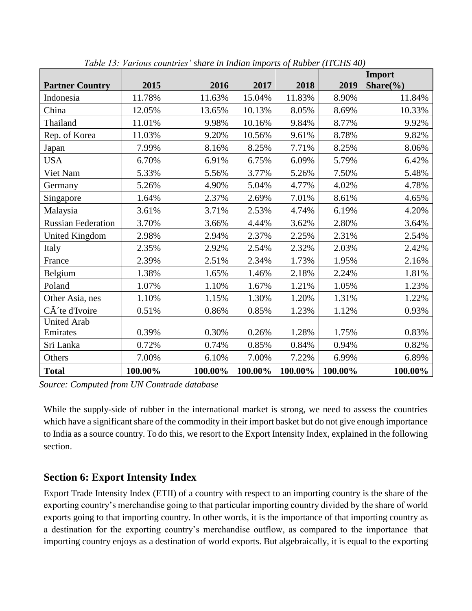|                           |         |         |         |         |         | Import        |
|---------------------------|---------|---------|---------|---------|---------|---------------|
| <b>Partner Country</b>    | 2015    | 2016    | 2017    | 2018    | 2019    | Share $(\% )$ |
| Indonesia                 | 11.78%  | 11.63%  | 15.04%  | 11.83%  | 8.90%   | 11.84%        |
| China                     | 12.05%  | 13.65%  | 10.13%  | 8.05%   | 8.69%   | 10.33%        |
| Thailand                  | 11.01%  | 9.98%   | 10.16%  | 9.84%   | 8.77%   | 9.92%         |
| Rep. of Korea             | 11.03%  | 9.20%   | 10.56%  | 9.61%   | 8.78%   | 9.82%         |
| Japan                     | 7.99%   | 8.16%   | 8.25%   | 7.71%   | 8.25%   | 8.06%         |
| <b>USA</b>                | 6.70%   | 6.91%   | 6.75%   | 6.09%   | 5.79%   | 6.42%         |
| Viet Nam                  | 5.33%   | 5.56%   | 3.77%   | 5.26%   | 7.50%   | 5.48%         |
| Germany                   | 5.26%   | 4.90%   | 5.04%   | 4.77%   | 4.02%   | 4.78%         |
| Singapore                 | 1.64%   | 2.37%   | 2.69%   | 7.01%   | 8.61%   | 4.65%         |
| Malaysia                  | 3.61%   | 3.71%   | 2.53%   | 4.74%   | 6.19%   | 4.20%         |
| <b>Russian Federation</b> | 3.70%   | 3.66%   | 4.44%   | 3.62%   | 2.80%   | 3.64%         |
| <b>United Kingdom</b>     | 2.98%   | 2.94%   | 2.37%   | 2.25%   | 2.31%   | 2.54%         |
| Italy                     | 2.35%   | 2.92%   | 2.54%   | 2.32%   | 2.03%   | 2.42%         |
| France                    | 2.39%   | 2.51%   | 2.34%   | 1.73%   | 1.95%   | 2.16%         |
| Belgium                   | 1.38%   | 1.65%   | 1.46%   | 2.18%   | 2.24%   | 1.81%         |
| Poland                    | 1.07%   | 1.10%   | 1.67%   | 1.21%   | 1.05%   | 1.23%         |
| Other Asia, nes           | 1.10%   | 1.15%   | 1.30%   | 1.20%   | 1.31%   | 1.22%         |
| CÃ 'te d'Ivoire           | 0.51%   | 0.86%   | 0.85%   | 1.23%   | 1.12%   | 0.93%         |
| <b>United Arab</b>        |         |         |         |         |         |               |
| Emirates                  | 0.39%   | 0.30%   | 0.26%   | 1.28%   | 1.75%   | 0.83%         |
| Sri Lanka                 | 0.72%   | 0.74%   | 0.85%   | 0.84%   | 0.94%   | 0.82%         |
| Others                    | 7.00%   | 6.10%   | 7.00%   | 7.22%   | 6.99%   | 6.89%         |
| <b>Total</b>              | 100.00% | 100.00% | 100.00% | 100.00% | 100.00% | 100.00%       |

*Table 13: Various countries' share in Indian imports of Rubber (ITCHS 40)*

While the supply-side of rubber in the international market is strong, we need to assess the countries which have a significant share of the commodity in their import basket but do not give enough importance to India as a source country. To do this, we resort to the Export Intensity Index, explained in the following section.

### **Section 6: Export Intensity Index**

Export Trade Intensity Index (ETII) of a country with respect to an importing country is the share of the exporting country's merchandise going to that particular importing country divided by the share of world exports going to that importing country. In other words, it is the importance of that importing country as a destination for the exporting country's merchandise outflow, as compared to the importance that importing country enjoys as a destination of world exports. But algebraically, it is equal to the exporting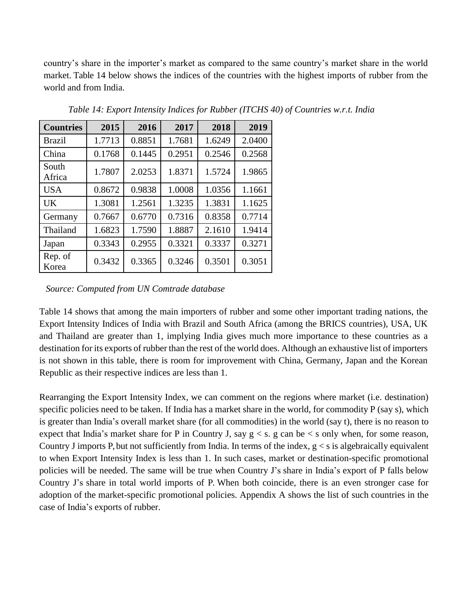country's share in the importer's market as compared to the same country's market share in the world market. [Table 14 b](#page-14-0)elow shows the indices of the countries with the highest imports of rubber from the world and from India.

<span id="page-14-0"></span>

| <b>Countries</b> | 2015   | 2016   | 2017   | 2018   | 2019   |
|------------------|--------|--------|--------|--------|--------|
| <b>Brazil</b>    | 1.7713 | 0.8851 | 1.7681 | 1.6249 | 2.0400 |
| China            | 0.1768 | 0.1445 | 0.2951 | 0.2546 | 0.2568 |
| South<br>Africa  | 1.7807 | 2.0253 | 1.8371 | 1.5724 | 1.9865 |
| <b>USA</b>       | 0.8672 | 0.9838 | 1.0008 | 1.0356 | 1.1661 |
| <b>UK</b>        | 1.3081 | 1.2561 | 1.3235 | 1.3831 | 1.1625 |
| Germany          | 0.7667 | 0.6770 | 0.7316 | 0.8358 | 0.7714 |
| Thailand         | 1.6823 | 1.7590 | 1.8887 | 2.1610 | 1.9414 |
| Japan            | 0.3343 | 0.2955 | 0.3321 | 0.3337 | 0.3271 |
| Rep. of<br>Korea | 0.3432 | 0.3365 | 0.3246 | 0.3501 | 0.3051 |

*Table 14: Export Intensity Indices for Rubber (ITCHS 40) of Countries w.r.t. India*

#### *Source: Computed from UN Comtrade database*

Table 14 shows that among the main importers of rubber and some other important trading nations, the Export Intensity Indices of India with Brazil and South Africa (among the BRICS countries), USA, UK and Thailand are greater than 1, implying India gives much more importance to these countries as a destination for its exports of rubber than the rest of the world does. Although an exhaustive list of importers is not shown in this table, there is room for improvement with China, Germany, Japan and the Korean Republic as their respective indices are less than 1.

Rearranging the Export Intensity Index, we can comment on the regions where market (i.e. destination) specific policies need to be taken. If India has a market share in the world, for commodity P (say s), which is greater than India's overall market share (for all commodities) in the world (say t), there is no reason to expect that India's market share for P in Country J, say  $g < s$ . g can be  $\lt s$  only when, for some reason, Country J imports P, but not sufficiently from India. In terms of the index,  $g < s$  is algebraically equivalent to when Export Intensity Index is less than 1. In such cases, market or destination-specific promotional policies will be needed. The same will be true when Country J's share in India's export of P falls below Country J's share in total world imports of P. When both coincide, there is an even stronger case for adoption of the market-specific promotional policies. Appendix A shows the list of such countries in the case of India's exports of rubber.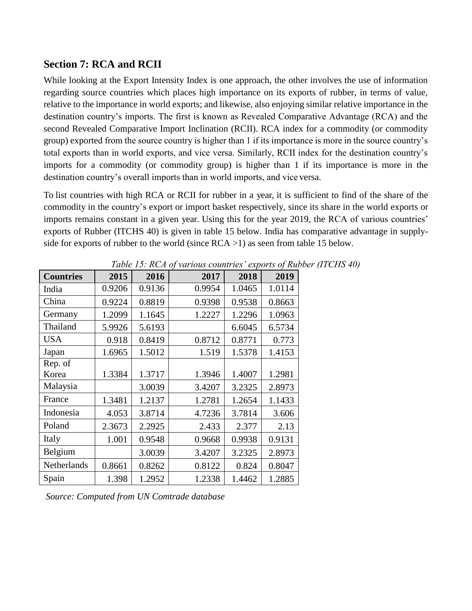### **Section 7: RCA and RCII**

While looking at the Export Intensity Index is one approach, the other involves the use of information regarding source countries which places high importance on its exports of rubber, in terms of value, relative to the importance in world exports; and likewise, also enjoying similar relative importance in the destination country's imports. The first is known as Revealed Comparative Advantage (RCA) and the second Revealed Comparative Import Inclination (RCII). RCA index for a commodity (or commodity group) exported from the source country is higher than 1 if its importance is more in the source country's total exports than in world exports, and vice versa. Similarly, RCII index for the destination country's imports for a commodity (or commodity group) is higher than 1 if its importance is more in the destination country's overall imports than in world imports, and vice versa.

To list countries with high RCA or RCII for rubber in a year, it is sufficient to find of the share of the commodity in the country's export or import basket respectively, since its share in the world exports or imports remains constant in a given year. Using this for the year 2019, the RCA of various countries' exports of Rubber (ITCHS 40) is given in table 15 below. India has comparative advantage in supplyside for exports of rubber to the world (since  $RCA > 1$ ) as seen from table 15 below.

| <b>Countries</b> | 2015   | 2016   | 2017   | 2018   | 2019   |
|------------------|--------|--------|--------|--------|--------|
| India            | 0.9206 | 0.9136 | 0.9954 | 1.0465 | 1.0114 |
| China            | 0.9224 | 0.8819 | 0.9398 | 0.9538 | 0.8663 |
| Germany          | 1.2099 | 1.1645 | 1.2227 | 1.2296 | 1.0963 |
| Thailand         | 5.9926 | 5.6193 |        | 6.6045 | 6.5734 |
| <b>USA</b>       | 0.918  | 0.8419 | 0.8712 | 0.8771 | 0.773  |
| Japan            | 1.6965 | 1.5012 | 1.519  | 1.5378 | 1.4153 |
| Rep. of          |        |        |        |        |        |
| Korea            | 1.3384 | 1.3717 | 1.3946 | 1.4007 | 1.2981 |
| Malaysia         |        | 3.0039 | 3.4207 | 3.2325 | 2.8973 |
| France           | 1.3481 | 1.2137 | 1.2781 | 1.2654 | 1.1433 |
| Indonesia        | 4.053  | 3.8714 | 4.7236 | 3.7814 | 3.606  |
| Poland           | 2.3673 | 2.2925 | 2.433  | 2.377  | 2.13   |
| Italy            | 1.001  | 0.9548 | 0.9668 | 0.9938 | 0.9131 |
| Belgium          |        | 3.0039 | 3.4207 | 3.2325 | 2.8973 |
| Netherlands      | 0.8661 | 0.8262 | 0.8122 | 0.824  | 0.8047 |
| Spain            | 1.398  | 1.2952 | 1.2338 | 1.4462 | 1.2885 |

*Table 15: RCA of various countries' exports of Rubber (ITCHS 40)*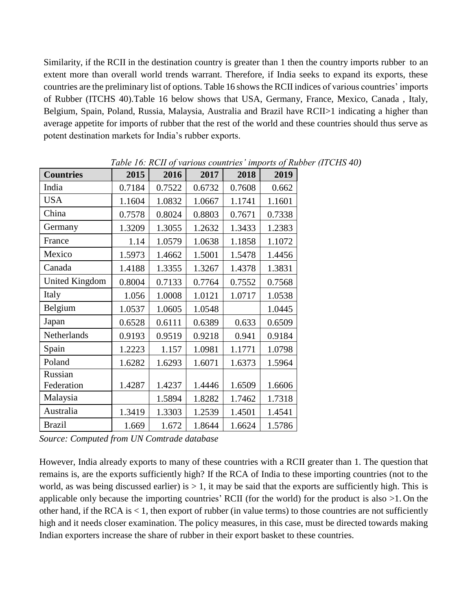Similarity, if the RCII in the destination country is greater than 1 then the country imports rubber to an extent more than overall world trends warrant. Therefore, if India seeks to expand its exports, these countries are the preliminary list of options. Table 16 shows the RCII indices of various countries' imports of Rubber (ITCHS 40).Table 16 below shows that USA, Germany, France, Mexico, Canada , Italy, Belgium, Spain, Poland, Russia, Malaysia, Australia and Brazil have RCII>1 indicating a higher than average appetite for imports of rubber that the rest of the world and these countries should thus serve as potent destination markets for India's rubber exports.

| <b>Countries</b>      | 2015   | 2016   | 2017   | 2018   | 2019   |
|-----------------------|--------|--------|--------|--------|--------|
| India                 | 0.7184 | 0.7522 | 0.6732 | 0.7608 | 0.662  |
| <b>USA</b>            | 1.1604 | 1.0832 | 1.0667 | 1.1741 | 1.1601 |
| China                 | 0.7578 | 0.8024 | 0.8803 | 0.7671 | 0.7338 |
| Germany               | 1.3209 | 1.3055 | 1.2632 | 1.3433 | 1.2383 |
| France                | 1.14   | 1.0579 | 1.0638 | 1.1858 | 1.1072 |
| Mexico                | 1.5973 | 1.4662 | 1.5001 | 1.5478 | 1.4456 |
| Canada                | 1.4188 | 1.3355 | 1.3267 | 1.4378 | 1.3831 |
| <b>United Kingdom</b> | 0.8004 | 0.7133 | 0.7764 | 0.7552 | 0.7568 |
| Italy                 | 1.056  | 1.0008 | 1.0121 | 1.0717 | 1.0538 |
| Belgium               | 1.0537 | 1.0605 | 1.0548 |        | 1.0445 |
| Japan                 | 0.6528 | 0.6111 | 0.6389 | 0.633  | 0.6509 |
| Netherlands           | 0.9193 | 0.9519 | 0.9218 | 0.941  | 0.9184 |
| Spain                 | 1.2223 | 1.157  | 1.0981 | 1.1771 | 1.0798 |
| Poland                | 1.6282 | 1.6293 | 1.6071 | 1.6373 | 1.5964 |
| Russian               |        |        |        |        |        |
| Federation            | 1.4287 | 1.4237 | 1.4446 | 1.6509 | 1.6606 |
| Malaysia              |        | 1.5894 | 1.8282 | 1.7462 | 1.7318 |
| Australia             | 1.3419 | 1.3303 | 1.2539 | 1.4501 | 1.4541 |
| <b>Brazil</b>         | 1.669  | 1.672  | 1.8644 | 1.6624 | 1.5786 |

*Table 16: RCII of various countries' imports of Rubber (ITCHS 40)*

*Source: Computed from UN Comtrade database*

However, India already exports to many of these countries with a RCII greater than 1. The question that remains is, are the exports sufficiently high? If the RCA of India to these importing countries (not to the world, as was being discussed earlier) is  $> 1$ , it may be said that the exports are sufficiently high. This is applicable only because the importing countries' RCII (for the world) for the product is also >1. On the other hand, if the RCA is < 1, then export of rubber (in value terms) to those countries are not sufficiently high and it needs closer examination. The policy measures, in this case, must be directed towards making Indian exporters increase the share of rubber in their export basket to these countries.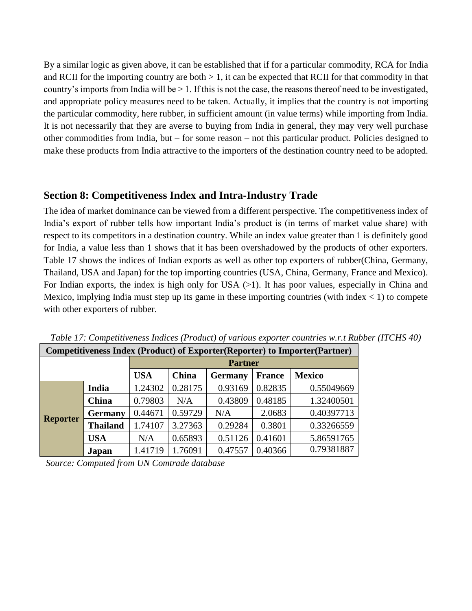By a similar logic as given above, it can be established that if for a particular commodity, RCA for India and RCII for the importing country are both  $> 1$ , it can be expected that RCII for that commodity in that country's imports from India will be > 1. If this is not the case, the reasons thereof need to be investigated, and appropriate policy measures need to be taken. Actually, it implies that the country is not importing the particular commodity, here rubber, in sufficient amount (in value terms) while importing from India. It is not necessarily that they are averse to buying from India in general, they may very well purchase other commodities from India, but – for some reason – not this particular product. Policies designed to make these products from India attractive to the importers of the destination country need to be adopted.

### **Section 8: Competitiveness Index and Intra-Industry Trade**

The idea of market dominance can be viewed from a different perspective. The competitiveness index of India's export of rubber tells how important India's product is (in terms of market value share) with respect to its competitors in a destination country. While an index value greater than 1 is definitely good for India, a value less than 1 shows that it has been overshadowed by the products of other exporters. [Table 17 s](#page-18-0)hows the indices of Indian exports as well as other top exporters of rubber(China, Germany, Thailand, USA and Japan) for the top importing countries (USA, China, Germany, France and Mexico). For Indian exports, the index is high only for USA  $(>1)$ . It has poor values, especially in China and Mexico, implying India must step up its game in these importing countries (with index  $\langle 1 \rangle$  to compete with other exporters of rubber.

| Competitiveness Index (Product) of Exporter(Reporter) to Importer(Partner) |                 |                |         |                |               |               |  |  |
|----------------------------------------------------------------------------|-----------------|----------------|---------|----------------|---------------|---------------|--|--|
|                                                                            |                 | <b>Partner</b> |         |                |               |               |  |  |
|                                                                            |                 | <b>USA</b>     | China   | <b>Germany</b> | <b>France</b> | <b>Mexico</b> |  |  |
| <b>Reporter</b>                                                            | India           | 1.24302        | 0.28175 | 0.93169        | 0.82835       | 0.55049669    |  |  |
|                                                                            | <b>China</b>    | 0.79803        | N/A     | 0.43809        | 0.48185       | 1.32400501    |  |  |
|                                                                            | <b>Germany</b>  | 0.44671        | 0.59729 | N/A            | 2.0683        | 0.40397713    |  |  |
|                                                                            | <b>Thailand</b> | 1.74107        | 3.27363 | 0.29284        | 0.3801        | 0.33266559    |  |  |
|                                                                            | <b>USA</b>      | N/A            | 0.65893 | 0.51126        | 0.41601       | 5.86591765    |  |  |
|                                                                            | Japan           | 1.41719        | 1.76091 | 0.47557        | 0.40366       | 0.79381887    |  |  |

*Table 17: Competitiveness Indices (Product) of various exporter countries w.r.t Rubber (ITCHS 40)*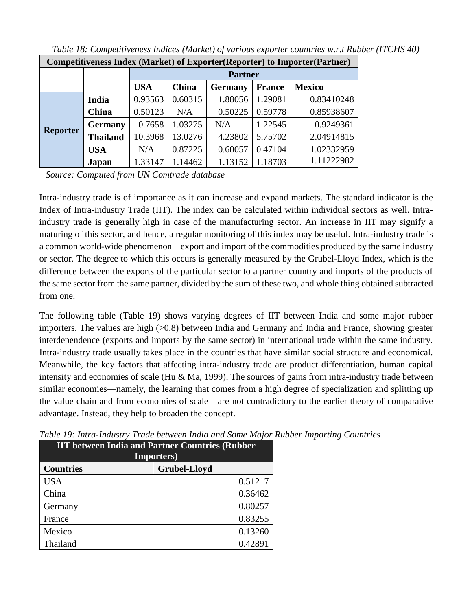| Competitiveness Index (Market) of Exporter(Reporter) to Importer(Partner) |                 |            |                                                           |         |         |            |  |  |  |
|---------------------------------------------------------------------------|-----------------|------------|-----------------------------------------------------------|---------|---------|------------|--|--|--|
|                                                                           |                 |            | <b>Partner</b>                                            |         |         |            |  |  |  |
|                                                                           |                 | <b>USA</b> | China<br><b>Mexico</b><br><b>France</b><br><b>Germany</b> |         |         |            |  |  |  |
| <b>Reporter</b>                                                           | India           | 0.93563    | 0.60315                                                   | 1.88056 | 1.29081 | 0.83410248 |  |  |  |
|                                                                           | China           | 0.50123    | N/A                                                       | 0.50225 | 0.59778 | 0.85938607 |  |  |  |
|                                                                           | <b>Germany</b>  | 0.7658     | 1.03275                                                   | N/A     | 1.22545 | 0.9249361  |  |  |  |
|                                                                           | <b>Thailand</b> | 10.3968    | 13.0276                                                   | 4.23802 | 5.75702 | 2.04914815 |  |  |  |
|                                                                           | <b>USA</b>      | N/A        | 0.87225                                                   | 0.60057 | 0.47104 | 1.02332959 |  |  |  |
|                                                                           | Japan           | 1.33147    | 1.14462                                                   | 1.13152 | 1.18703 | 1.11222982 |  |  |  |

*Table 18: Competitiveness Indices (Market) of various exporter countries w.r.t Rubber (ITCHS 40)*

Intra-industry trade is of importance as it can increase and expand markets. The standard indicator is the Index of Intra-industry Trade (IIT). The index can be calculated within individual sectors as well. Intraindustry trade is generally high in case of the manufacturing sector. An increase in IIT may signify a maturing of this sector, and hence, a regular monitoring of this index may be useful. Intra-industry trade is a common world-wide phenomenon – export and import of the commodities produced by the same industry or sector. The degree to which this occurs is generally measured by the Grubel-Lloyd Index, which is the difference between the exports of the particular sector to a partner country and imports of the products of the same sector from the same partner, divided by the sum of these two, and whole thing obtained subtracted from one.

The following table (Table 19) shows varying degrees of IIT between India and some major rubber importers. The values are high (>0.8) between India and Germany and India and France, showing greater interdependence (exports and imports by the same sector) in international trade within the same industry. Intra-industry trade usually takes place in the countries that have similar social structure and economical. Meanwhile, the key factors that affecting intra-industry trade are product differentiation, human capital intensity and economies of scale (Hu & Ma, 1999). The sources of gains from intra-industry trade between similar economies—namely, the learning that comes from a high degree of specialization and splitting up the value chain and from economies of scale—are not contradictory to the earlier theory of comparative advantage. Instead, they help to broaden the concept.

| <b>IIT between India and Partner Countries (Rubber</b><br><b>Importers</b> ) |                     |  |  |  |
|------------------------------------------------------------------------------|---------------------|--|--|--|
| <b>Countries</b>                                                             | <b>Grubel-Lloyd</b> |  |  |  |
| <b>USA</b>                                                                   | 0.51217             |  |  |  |
| China                                                                        | 0.36462             |  |  |  |
| Germany                                                                      | 0.80257             |  |  |  |
| France                                                                       | 0.83255             |  |  |  |
| Mexico                                                                       | 0.13260             |  |  |  |
| Thailand                                                                     | 0.42891             |  |  |  |

<span id="page-18-0"></span>*Table 19: Intra-Industry Trade between India and Some Major Rubber Importing Countries*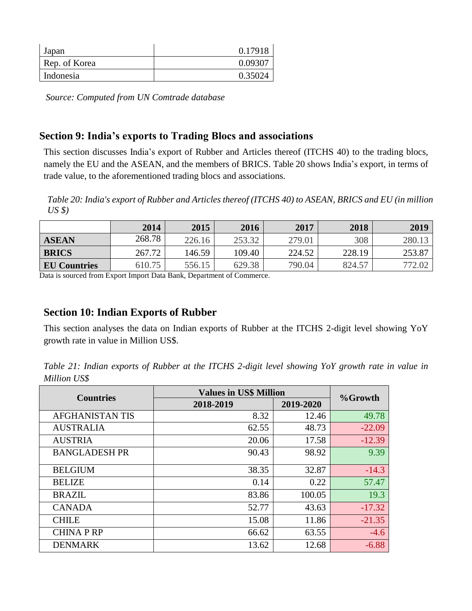| Japan         | 0.17918 |
|---------------|---------|
| Rep. of Korea | 0.09307 |
| Indonesia     | 0.35024 |

### **Section 9: India's exports to Trading Blocs and associations**

This section discusses India's export of Rubber and Articles thereof (ITCHS 40) to the trading blocs, namely the EU and the ASEAN, and the members of BRICS. Table 20 shows India's export, in terms of trade value, to the aforementioned trading blocs and associations.

*Table 20: India's export of Rubber and Articles thereof (ITCHS 40) to ASEAN, BRICS and EU (in million US \$)*

|                     | 2014   | 2015   | 2016   | 2017   | 2018   | 2019   |
|---------------------|--------|--------|--------|--------|--------|--------|
| <b>ASEAN</b>        | 268.78 | 226.16 | 253.32 | 279.01 | 308    | 280.13 |
| <b>BRICS</b>        | 267.72 | 146.59 | 109.40 | 224.52 | 228.19 | 253.87 |
| <b>EU Countries</b> | 610.75 | 556.15 | 629.38 | 790.04 | 824.57 |        |

Data is sourced from Export Import Data Bank, Department of Commerce.

### **Section 10: Indian Exports of Rubber**

This section analyses the data on Indian exports of Rubber at the ITCHS 2-digit level showing YoY growth rate in value in Million US\$.

*Table 21: Indian exports of Rubber at the ITCHS 2-digit level showing YoY growth rate in value in Million US\$*

| <b>Countries</b>       | <b>Values in US\$ Million</b> | %Growth   |          |
|------------------------|-------------------------------|-----------|----------|
|                        | 2018-2019                     | 2019-2020 |          |
| <b>AFGHANISTAN TIS</b> | 8.32                          | 12.46     | 49.78    |
| <b>AUSTRALIA</b>       | 62.55                         | 48.73     | $-22.09$ |
| <b>AUSTRIA</b>         | 20.06                         | 17.58     | $-12.39$ |
| <b>BANGLADESH PR</b>   | 90.43                         | 98.92     | 9.39     |
| <b>BELGIUM</b>         | 38.35                         | 32.87     | $-14.3$  |
| <b>BELIZE</b>          | 0.14                          | 0.22      | 57.47    |
| <b>BRAZIL</b>          | 83.86                         | 100.05    | 19.3     |
| <b>CANADA</b>          | 52.77                         | 43.63     | $-17.32$ |
| <b>CHILE</b>           | 15.08                         | 11.86     | $-21.35$ |
| <b>CHINA P RP</b>      | 66.62                         | 63.55     | $-4.6$   |
| <b>DENMARK</b>         | 13.62                         | 12.68     | $-6.88$  |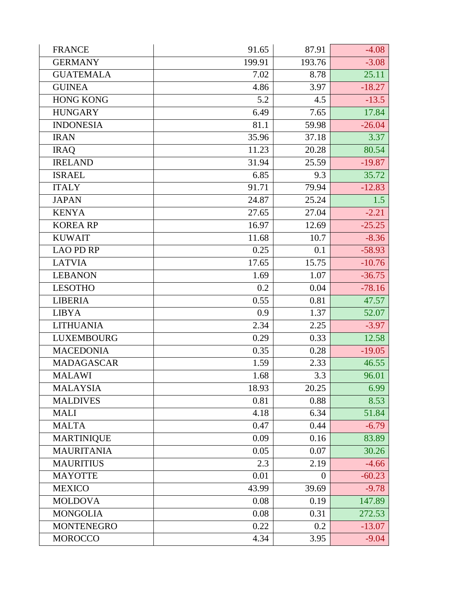| <b>FRANCE</b>     | 91.65  | 87.91            | $-4.08$  |
|-------------------|--------|------------------|----------|
| <b>GERMANY</b>    | 199.91 | 193.76           | $-3.08$  |
| <b>GUATEMALA</b>  | 7.02   | 8.78             | 25.11    |
| <b>GUINEA</b>     | 4.86   | 3.97             | $-18.27$ |
| <b>HONG KONG</b>  | 5.2    | 4.5              | $-13.5$  |
| <b>HUNGARY</b>    | 6.49   | 7.65             | 17.84    |
| <b>INDONESIA</b>  | 81.1   | 59.98            | $-26.04$ |
| <b>IRAN</b>       | 35.96  | 37.18            | 3.37     |
| <b>IRAQ</b>       | 11.23  | 20.28            | 80.54    |
| <b>IRELAND</b>    | 31.94  | 25.59            | $-19.87$ |
| <b>ISRAEL</b>     | 6.85   | 9.3              | 35.72    |
| <b>ITALY</b>      | 91.71  | 79.94            | $-12.83$ |
| <b>JAPAN</b>      | 24.87  | 25.24            | 1.5      |
| <b>KENYA</b>      | 27.65  | 27.04            | $-2.21$  |
| <b>KOREA RP</b>   | 16.97  | 12.69            | $-25.25$ |
| <b>KUWAIT</b>     | 11.68  | 10.7             | $-8.36$  |
| <b>LAO PD RP</b>  | 0.25   | 0.1              | $-58.93$ |
| <b>LATVIA</b>     | 17.65  | 15.75            | $-10.76$ |
| <b>LEBANON</b>    | 1.69   | 1.07             | $-36.75$ |
| <b>LESOTHO</b>    | 0.2    | 0.04             | $-78.16$ |
| <b>LIBERIA</b>    | 0.55   | 0.81             | 47.57    |
| <b>LIBYA</b>      | 0.9    | 1.37             | 52.07    |
| <b>LITHUANIA</b>  | 2.34   | 2.25             | $-3.97$  |
| <b>LUXEMBOURG</b> | 0.29   | 0.33             | 12.58    |
| <b>MACEDONIA</b>  | 0.35   | 0.28             | $-19.05$ |
| <b>MADAGASCAR</b> | 1.59   | 2.33             | 46.55    |
| <b>MALAWI</b>     | 1.68   | $\overline{3.3}$ | 96.01    |
| <b>MALAYSIA</b>   | 18.93  | 20.25            | 6.99     |
| <b>MALDIVES</b>   | 0.81   | 0.88             | 8.53     |
| <b>MALI</b>       | 4.18   | 6.34             | 51.84    |
| <b>MALTA</b>      | 0.47   | 0.44             | $-6.79$  |
| <b>MARTINIQUE</b> | 0.09   | 0.16             | 83.89    |
| <b>MAURITANIA</b> | 0.05   | 0.07             | 30.26    |
| <b>MAURITIUS</b>  | 2.3    | 2.19             | $-4.66$  |
| <b>MAYOTTE</b>    | 0.01   | $\theta$         | $-60.23$ |
| <b>MEXICO</b>     | 43.99  | 39.69            | $-9.78$  |
| <b>MOLDOVA</b>    | 0.08   | 0.19             | 147.89   |
| <b>MONGOLIA</b>   | 0.08   | 0.31             | 272.53   |
| <b>MONTENEGRO</b> | 0.22   | 0.2              | $-13.07$ |
| <b>MOROCCO</b>    | 4.34   | 3.95             | $-9.04$  |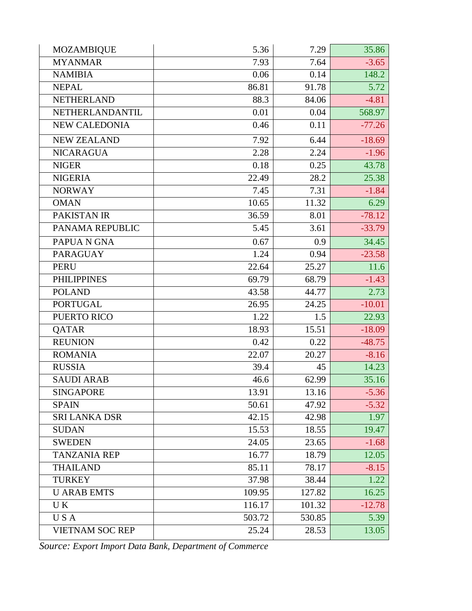| <b>MOZAMBIQUE</b>      | 5.36   | 7.29   | 35.86    |
|------------------------|--------|--------|----------|
| <b>MYANMAR</b>         | 7.93   | 7.64   | $-3.65$  |
| <b>NAMIBIA</b>         | 0.06   | 0.14   | 148.2    |
| <b>NEPAL</b>           | 86.81  | 91.78  | 5.72     |
| <b>NETHERLAND</b>      | 88.3   | 84.06  | $-4.81$  |
| NETHERLANDANTIL        | 0.01   | 0.04   | 568.97   |
| <b>NEW CALEDONIA</b>   | 0.46   | 0.11   | $-77.26$ |
| <b>NEW ZEALAND</b>     | 7.92   | 6.44   | $-18.69$ |
| <b>NICARAGUA</b>       | 2.28   | 2.24   | $-1.96$  |
| <b>NIGER</b>           | 0.18   | 0.25   | 43.78    |
| <b>NIGERIA</b>         | 22.49  | 28.2   | 25.38    |
| <b>NORWAY</b>          | 7.45   | 7.31   | $-1.84$  |
| <b>OMAN</b>            | 10.65  | 11.32  | 6.29     |
| PAKISTAN IR            | 36.59  | 8.01   | $-78.12$ |
| PANAMA REPUBLIC        | 5.45   | 3.61   | $-33.79$ |
| PAPUA N GNA            | 0.67   | 0.9    | 34.45    |
| <b>PARAGUAY</b>        | 1.24   | 0.94   | $-23.58$ |
| <b>PERU</b>            | 22.64  | 25.27  | 11.6     |
| <b>PHILIPPINES</b>     | 69.79  | 68.79  | $-1.43$  |
| <b>POLAND</b>          | 43.58  | 44.77  | 2.73     |
| <b>PORTUGAL</b>        | 26.95  | 24.25  | $-10.01$ |
| <b>PUERTO RICO</b>     | 1.22   | 1.5    | 22.93    |
| QATAR                  | 18.93  | 15.51  | $-18.09$ |
| <b>REUNION</b>         | 0.42   | 0.22   | $-48.75$ |
| <b>ROMANIA</b>         | 22.07  | 20.27  | $-8.16$  |
| <b>RUSSIA</b>          | 39.4   | 45     | 14.23    |
| <b>SAUDI ARAB</b>      | 46.6   | 62.99  | 35.16    |
| <b>SINGAPORE</b>       | 13.91  | 13.16  | $-5.36$  |
| <b>SPAIN</b>           | 50.61  | 47.92  | $-5.32$  |
| <b>SRI LANKA DSR</b>   | 42.15  | 42.98  | 1.97     |
| <b>SUDAN</b>           | 15.53  | 18.55  | 19.47    |
| <b>SWEDEN</b>          | 24.05  | 23.65  | $-1.68$  |
| <b>TANZANIA REP</b>    | 16.77  | 18.79  | 12.05    |
| <b>THAILAND</b>        | 85.11  | 78.17  | $-8.15$  |
| <b>TURKEY</b>          | 37.98  | 38.44  | 1.22     |
| <b>U ARAB EMTS</b>     | 109.95 | 127.82 | 16.25    |
| UK.                    | 116.17 | 101.32 | $-12.78$ |
| USA                    | 503.72 | 530.85 | 5.39     |
| <b>VIETNAM SOC REP</b> | 25.24  | 28.53  | 13.05    |

*Source: Export Import Data Bank, Department of Commerce*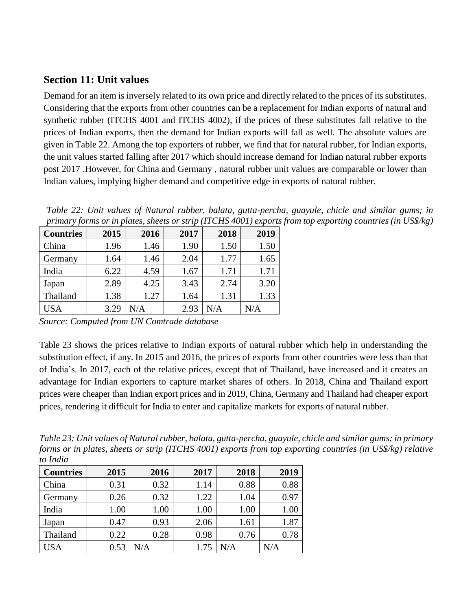### **Section 11: Unit values**

Demand for an item is inversely related to its own price and directly related to the prices of its substitutes. Considering that the exports from other countries can be a replacement for Indian exports of natural and synthetic rubber (ITCHS 4001 and ITCHS 4002), if the prices of these substitutes fall relative to the prices of Indian exports, then the demand for Indian exports will fall as well. The absolute values are given in Table 22. Among the top exporters of rubber, we find that for natural rubber, for Indian exports, the unit values started falling after 2017 which should increase demand for Indian natural rubber exports post 2017 .However, for China and Germany , natural rubber unit values are comparable or lower than Indian values, implying higher demand and competitive edge in exports of natural rubber.

*Table 22: Unit values of Natural rubber, balata, gutta-percha, guayule, chicle and similar gums; in primary forms or in plates, sheets or strip (ITCHS 4001) exports from top exporting countries (in US\$/kg)*

| <b>Countries</b> | 2015 | 2016 | 2017 | 2018 | 2019 |
|------------------|------|------|------|------|------|
| China            | 1.96 | 1.46 | 1.90 | 1.50 | 1.50 |
| Germany          | 1.64 | 1.46 | 2.04 | 1.77 | 1.65 |
| India            | 6.22 | 4.59 | 1.67 | 1.71 | 1.71 |
| Japan            | 2.89 | 4.25 | 3.43 | 2.74 | 3.20 |
| Thailand         | 1.38 | 1.27 | 1.64 | 1.31 | 1.33 |
| <b>USA</b>       | 3.29 | N/A  | 2.93 | N/A  | N/A  |

*Source: Computed from UN Comtrade database*

[Table 23](#page-22-0) shows the prices relative to Indian exports of natural rubber which help in understanding the substitution effect, if any. In 2015 and 2016, the prices of exports from other countries were less than that of India's. In 2017, each of the relative prices, except that of Thailand, have increased and it creates an advantage for Indian exporters to capture market shares of others. In 2018, China and Thailand export prices were cheaper than Indian export prices and in 2019, China, Germany and Thailand had cheaper export prices, rendering it difficult for India to enter and capitalize markets for exports of natural rubber.

<span id="page-22-0"></span>*Table 23: Unit values of Natural rubber, balata, gutta-percha, guayule, chicle and similar gums; in primary forms or in plates, sheets or strip (ITCHS 4001) exports from top exporting countries (in US\$/kg) relative to India*

| <b>Countries</b> | 2015 | 2016      | 2017 | 2018 | 2019 |
|------------------|------|-----------|------|------|------|
| China            | 0.31 | 0.32      | 1.14 | 0.88 | 0.88 |
| Germany          | 0.26 | 0.32      | 1.22 | 1.04 | 0.97 |
| India            | 1.00 | 1.00      | 1.00 | 1.00 | 1.00 |
| Japan            | 0.47 | 0.93      | 2.06 | 1.61 | 1.87 |
| Thailand         | 0.22 | 0.28      | 0.98 | 0.76 | 0.78 |
| USA              | 0.53 | $\rm N/A$ | 1.75 | N/A  | N/A  |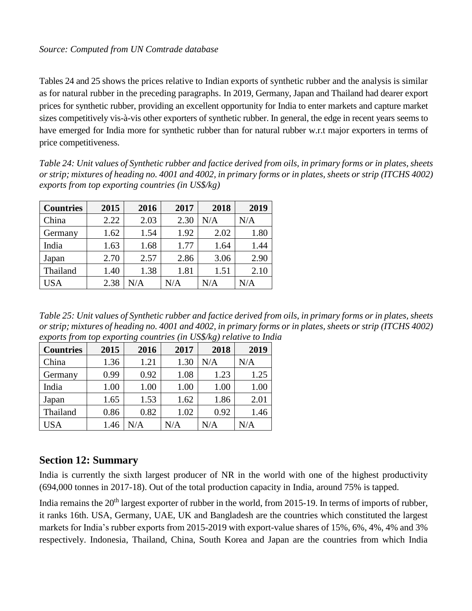[Tables 24](#page-22-0) and 25 shows the prices relative to Indian exports of synthetic rubber and the analysis is similar as for natural rubber in the preceding paragraphs. In 2019, Germany, Japan and Thailand had dearer export prices for synthetic rubber, providing an excellent opportunity for India to enter markets and capture market sizes competitively vis-à-vis other exporters of synthetic rubber. In general, the edge in recent years seems to have emerged for India more for synthetic rubber than for natural rubber w.r.t major exporters in terms of price competitiveness.

*Table 24: Unit values of Synthetic rubber and factice derived from oils, in primary forms or in plates, sheets or strip; mixtures of heading no. 4001 and 4002, in primary forms or in plates, sheets or strip (ITCHS 4002) exports from top exporting countries (in US\$/kg)* 

| <b>Countries</b> | 2015 | 2016      | 2017 | 2018 | 2019 |
|------------------|------|-----------|------|------|------|
| China            | 2.22 | 2.03      | 2.30 | N/A  | N/A  |
| Germany          | 1.62 | 1.54      | 1.92 | 2.02 | 1.80 |
| India            | 1.63 | 1.68      | 1.77 | 1.64 | 1.44 |
| Japan            | 2.70 | 2.57      | 2.86 | 3.06 | 2.90 |
| Thailand         | 1.40 | 1.38      | 1.81 | 1.51 | 2.10 |
| USA              | 2.38 | $\rm N/A$ | N/A  | N/A  | N/A  |

*Table 25: Unit values of Synthetic rubber and factice derived from oils, in primary forms or in plates, sheets or strip; mixtures of heading no. 4001 and 4002, in primary forms or in plates, sheets or strip (ITCHS 4002) exports from top exporting countries (in US\$/kg) relative to India*

| <b>Countries</b> | 2015 | 2016      | 2017 | 2018 | 2019 |
|------------------|------|-----------|------|------|------|
| China            | 1.36 | 1.21      | 1.30 | N/A  | N/A  |
| Germany          | 0.99 | 0.92      | 1.08 | 1.23 | 1.25 |
| India            | 1.00 | 1.00      | 1.00 | 1.00 | 1.00 |
| Japan            | 1.65 | 1.53      | 1.62 | 1.86 | 2.01 |
| Thailand         | 0.86 | 0.82      | 1.02 | 0.92 | 1.46 |
| <b>USA</b>       | 1.46 | $\rm N/A$ | N/A  | N/A  | N/A  |

### **Section 12: Summary**

India is currently the sixth largest producer of NR in the world with one of the highest productivity (694,000 tonnes in 2017-18). Out of the total production capacity in India, around 75% is tapped.

India remains the 20<sup>th</sup> largest exporter of rubber in the world, from 2015-19. In terms of imports of rubber, it ranks 16th. USA, Germany, UAE, UK and Bangladesh are the countries which constituted the largest markets for India's rubber exports from 2015-2019 with export-value shares of 15%, 6%, 4%, 4% and 3% respectively. Indonesia, Thailand, China, South Korea and Japan are the countries from which India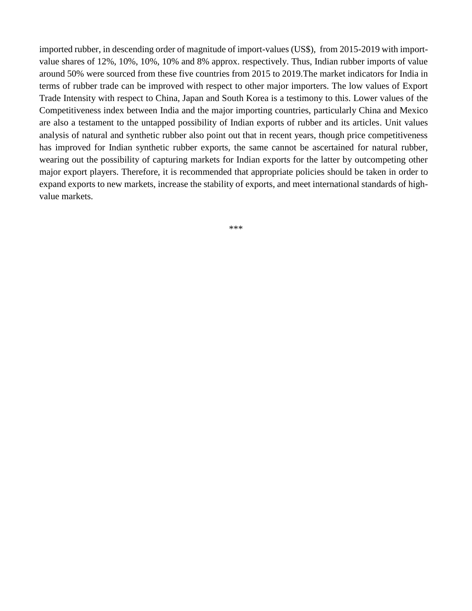imported rubber, in descending order of magnitude of import-values (US\$), from 2015-2019 with importvalue shares of 12%, 10%, 10%, 10% and 8% approx. respectively. Thus, Indian rubber imports of value around 50% were sourced from these five countries from 2015 to 2019.The market indicators for India in terms of rubber trade can be improved with respect to other major importers. The low values of Export Trade Intensity with respect to China, Japan and South Korea is a testimony to this. Lower values of the Competitiveness index between India and the major importing countries, particularly China and Mexico are also a testament to the untapped possibility of Indian exports of rubber and its articles. Unit values analysis of natural and synthetic rubber also point out that in recent years, though price competitiveness has improved for Indian synthetic rubber exports, the same cannot be ascertained for natural rubber, wearing out the possibility of capturing markets for Indian exports for the latter by outcompeting other major export players. Therefore, it is recommended that appropriate policies should be taken in order to expand exports to new markets, increase the stability of exports, and meet international standards of highvalue markets.

\*\*\*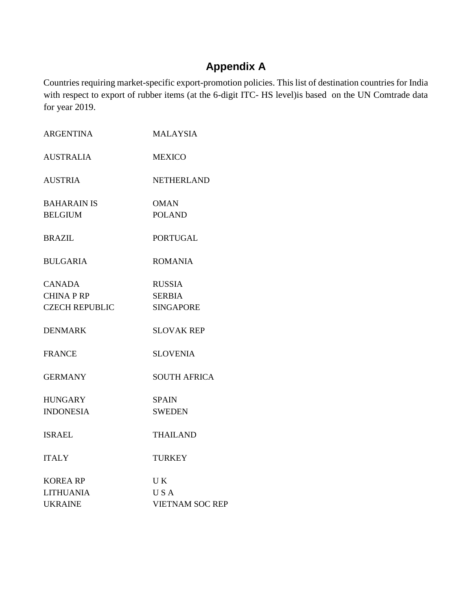# **Appendix A**

Countries requiring market-specific export-promotion policies. This list of destination countries for India with respect to export of rubber items (at the 6-digit ITC- HS level)is based on the UN Comtrade data for year 2019.

| <b>ARGENTINA</b>      | <b>MALAYSIA</b>        |
|-----------------------|------------------------|
| <b>AUSTRALIA</b>      | <b>MEXICO</b>          |
| <b>AUSTRIA</b>        | <b>NETHERLAND</b>      |
| <b>BAHARAIN IS</b>    | <b>OMAN</b>            |
| <b>BELGIUM</b>        | <b>POLAND</b>          |
| <b>BRAZIL</b>         | <b>PORTUGAL</b>        |
| <b>BULGARIA</b>       | <b>ROMANIA</b>         |
| <b>CANADA</b>         | <b>RUSSIA</b>          |
| <b>CHINA P RP</b>     | <b>SERBIA</b>          |
| <b>CZECH REPUBLIC</b> | <b>SINGAPORE</b>       |
| <b>DENMARK</b>        | <b>SLOVAK REP</b>      |
| <b>FRANCE</b>         | <b>SLOVENIA</b>        |
| <b>GERMANY</b>        | <b>SOUTH AFRICA</b>    |
| <b>HUNGARY</b>        | <b>SPAIN</b>           |
| <b>INDONESIA</b>      | <b>SWEDEN</b>          |
| <b>ISRAEL</b>         | <b>THAILAND</b>        |
| <b>ITALY</b>          | <b>TURKEY</b>          |
| <b>KOREA RP</b>       | UK                     |
| <b>LITHUANIA</b>      | <b>USA</b>             |
| <b>UKRAINE</b>        | <b>VIETNAM SOC REP</b> |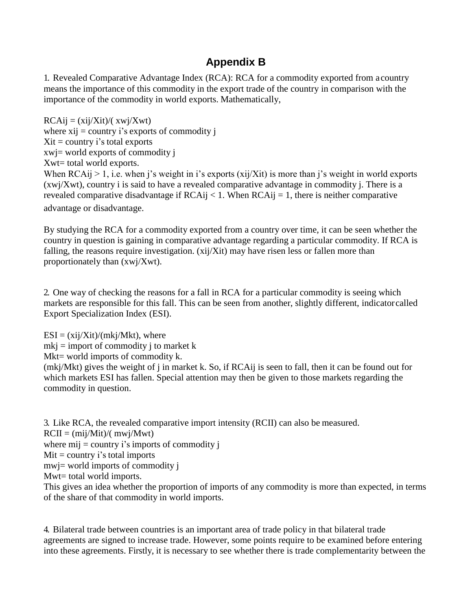## **Appendix B**

1. Revealed Comparative Advantage Index (RCA): RCA for a commodity exported from acountry means the importance of this commodity in the export trade of the country in comparison with the importance of the commodity in world exports. Mathematically,

 $RCAij = (xij/Xit)/(xwi/Xwt)$ where  $xij =$  country i's exports of commodity j  $Xit = country$  i's total exports xwj= world exports of commodity j Xwt= total world exports. When  $RCAij > 1$ , i.e. when j's weight in i's exports (xij/Xit) is more than j's weight in world exports (xwj/Xwt), country i is said to have a revealed comparative advantage in commodity j. There is a revealed comparative disadvantage if  $RCAij < 1$ . When  $RCAij = 1$ , there is neither comparative

advantage or disadvantage.

By studying the RCA for a commodity exported from a country over time, it can be seen whether the country in question is gaining in comparative advantage regarding a particular commodity. If RCA is falling, the reasons require investigation. (xij/Xit) may have risen less or fallen more than proportionately than (xwj/Xwt).

2. One way of checking the reasons for a fall in RCA for a particular commodity is seeing which markets are responsible for this fall. This can be seen from another, slightly different, indicatorcalled Export Specialization Index (ESI).

 $ESI = (xij/Xit)/(mkj/Mkt)$ , where

 $mki =$  import of commodity j to market k

Mkt= world imports of commodity k.

(mkj/Mkt) gives the weight of j in market k. So, if RCAij is seen to fall, then it can be found out for which markets ESI has fallen. Special attention may then be given to those markets regarding the commodity in question.

3. Like RCA, the revealed comparative import intensity (RCII) can also be measured.

 $RCII = (mij/Mit)/(mwj/Mwt)$ 

where  $mij =$  country i's imports of commodity j

 $Mit = country$  i's total imports

mwj= world imports of commodity j

Mwt= total world imports.

This gives an idea whether the proportion of imports of any commodity is more than expected, in terms of the share of that commodity in world imports.

4. Bilateral trade between countries is an important area of trade policy in that bilateral trade agreements are signed to increase trade. However, some points require to be examined before entering into these agreements. Firstly, it is necessary to see whether there is trade complementarity between the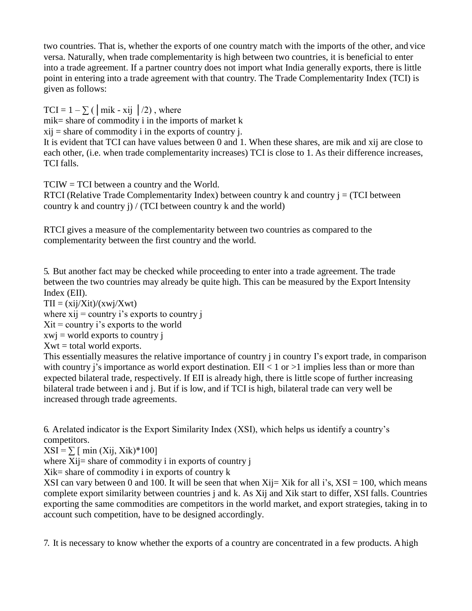two countries. That is, whether the exports of one country match with the imports of the other, and vice versa. Naturally, when trade complementarity is high between two countries, it is beneficial to enter into a trade agreement. If a partner country does not import what India generally exports, there is little point in entering into a trade agreement with that country. The Trade Complementarity Index (TCI) is given as follows:

TCI =  $1 - \sum$  ( | mik - xij | /2), where mik= share of commodity i in the imports of market k  $xij = share of commodity i in the exports of country i.$ 

It is evident that TCI can have values between 0 and 1. When these shares, are mik and xij are close to each other, (i.e. when trade complementarity increases) TCI is close to 1. As their difference increases, TCI falls.

TCIW = TCI between a country and the World.

RTCI (Relative Trade Complementarity Index) between country  $k$  and country  $j = (TCI)$  between country k and country j) / (TCI between country k and the world)

RTCI gives a measure of the complementarity between two countries as compared to the complementarity between the first country and the world.

5. But another fact may be checked while proceeding to enter into a trade agreement. The trade between the two countries may already be quite high. This can be measured by the Export Intensity Index (EII).

 $TII = \frac{\dot{x}}{\dot{x}} / \dot{X}t / (\dot{x}w)/\dot{X}wt$ where  $xij =$  country i's exports to country j  $Xit = country i's exports to the world$  $xwi = world$  exports to country j  $Xwt = total$  world exports.

This essentially measures the relative importance of country j in country I's export trade, in comparison with country j's importance as world export destination. EII  $<$  1 or  $>$ 1 implies less than or more than expected bilateral trade, respectively. If EII is already high, there is little scope of further increasing bilateral trade between i and j. But if is low, and if TCI is high, bilateral trade can very well be increased through trade agreements.

6. Arelated indicator is the Export Similarity Index (XSI), which helps us identify a country's competitors.

 $XSI = \sum \int min(Xij, Xik)*100$ 

where Xij= share of commodity i in exports of country j

 $Xik = share of commodity i in exports of country k$ 

XSI can vary between 0 and 100. It will be seen that when  $X_{ij}=X_{ik}$  for all i's,  $X_{i}=100$ , which means complete export similarity between countries j and k. As Xij and Xik start to differ, XSI falls. Countries exporting the same commodities are competitors in the world market, and export strategies, taking in to account such competition, have to be designed accordingly.

7. It is necessary to know whether the exports of a country are concentrated in a few products. Ahigh